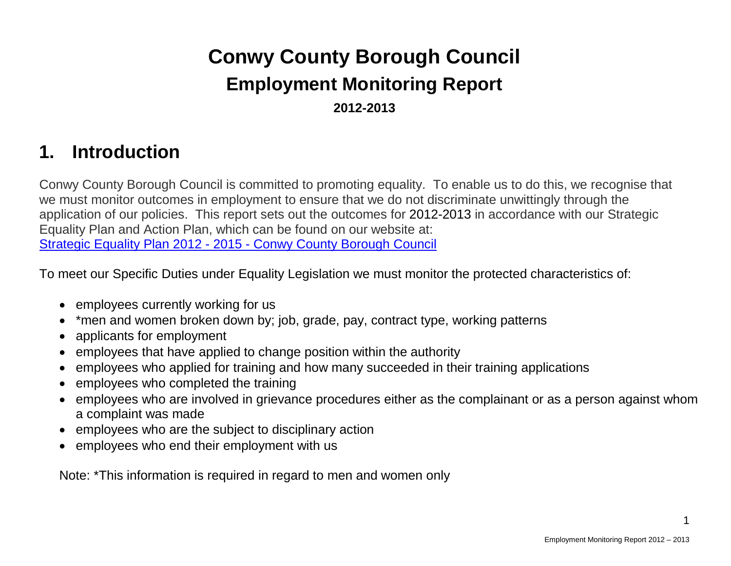# **Conwy County Borough Council Employment Monitoring Report 2012-2013**

## **1. Introduction**

Conwy County Borough Council is committed to promoting equality. To enable us to do this, we recognise that we must monitor outcomes in employment to ensure that we do not discriminate unwittingly through the application of our policies. This report sets out the outcomes for 2012-2013 in accordance with our Strategic Equality Plan and Action Plan, which can be found on our website at: Strategic Equality Plan 2012 - 2015 - [Conwy County Borough Council](http://www.conwy.gov.uk/doc.asp?cat=9945&doc=31020&Language=1)

To meet our Specific Duties under Equality Legislation we must monitor the protected characteristics of:

- employees currently working for us
- \*men and women broken down by; job, grade, pay, contract type, working patterns
- applicants for employment
- employees that have applied to change position within the authority
- employees who applied for training and how many succeeded in their training applications
- employees who completed the training
- employees who are involved in grievance procedures either as the complainant or as a person against whom a complaint was made
- employees who are the subject to disciplinary action
- employees who end their employment with us

Note: \*This information is required in regard to men and women only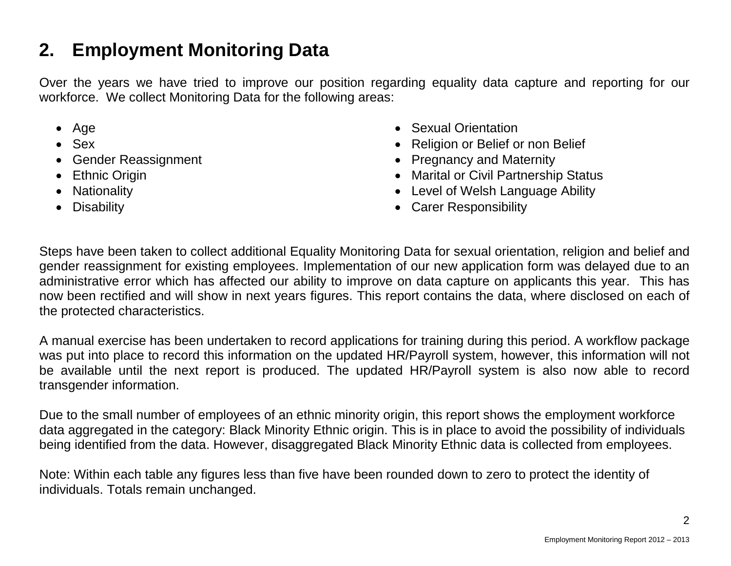## **2. Employment Monitoring Data**

Over the years we have tried to improve our position regarding equality data capture and reporting for our workforce. We collect Monitoring Data for the following areas:

- Age
- Sex
- Gender Reassignment
- Ethnic Origin
- Nationality
- Disability
- Sexual Orientation
- Religion or Belief or non Belief
- Pregnancy and Maternity
- Marital or Civil Partnership Status
- Level of Welsh Language Ability
- Carer Responsibility

Steps have been taken to collect additional Equality Monitoring Data for sexual orientation, religion and belief and gender reassignment for existing employees. Implementation of our new application form was delayed due to an administrative error which has affected our ability to improve on data capture on applicants this year. This has now been rectified and will show in next years figures. This report contains the data, where disclosed on each of the protected characteristics.

A manual exercise has been undertaken to record applications for training during this period. A workflow package was put into place to record this information on the updated HR/Payroll system, however, this information will not be available until the next report is produced. The updated HR/Payroll system is also now able to record transgender information.

Due to the small number of employees of an ethnic minority origin, this report shows the employment workforce data aggregated in the category: Black Minority Ethnic origin. This is in place to avoid the possibility of individuals being identified from the data. However, disaggregated Black Minority Ethnic data is collected from employees.

Note: Within each table any figures less than five have been rounded down to zero to protect the identity of individuals. Totals remain unchanged.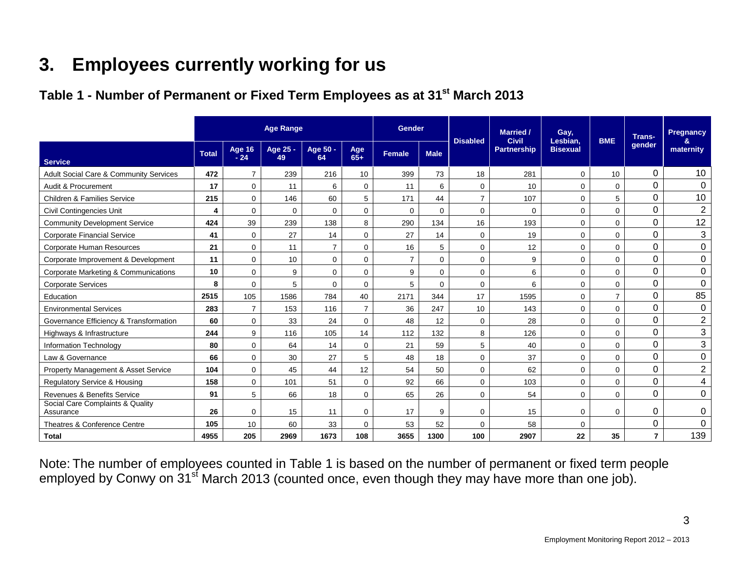## **3. Employees currently working for us**

## Table 1 - Number of Permanent or Fixed Term Employees as at 31<sup>st</sup> March 2013

|                                               | <b>Age Range</b> |                        |                |                | Gender         |        | <b>Disabled</b> | <b>Married /</b><br><b>Civil</b> | Gay,<br>Lesbian.   | <b>BME</b>      | <b>Trans-</b>  | Pregnancy      |                         |
|-----------------------------------------------|------------------|------------------------|----------------|----------------|----------------|--------|-----------------|----------------------------------|--------------------|-----------------|----------------|----------------|-------------------------|
| <b>Service</b>                                | <b>Total</b>     | <b>Age 16</b><br>$-24$ | Age 25 -<br>49 | Age 50 -<br>64 | Age<br>$65+$   | Female | <b>Male</b>     |                                  | <b>Partnership</b> | <b>Bisexual</b> |                | gender         | &<br>maternity          |
| Adult Social Care & Community Services        | 472              | $\overline{7}$         | 239            | 216            | 10             | 399    | 73              | 18                               | 281                | $\mathbf 0$     | 10             | $\Omega$       | 10                      |
| Audit & Procurement                           | 17               | $\overline{0}$         | 11             | 6              | 0              | 11     | 6               | 0                                | 10 <sup>°</sup>    | $\mathbf 0$     | $\mathbf 0$    | 0              | 0                       |
| Children & Families Service                   | 215              | $\mathbf 0$            | 146            | 60             | 5              | 171    | 44              | $\overline{7}$                   | 107                | $\mathbf 0$     | 5              | $\Omega$       | 10                      |
| <b>Civil Contingencies Unit</b>               | 4                | 0                      | 0              | 0              | 0              | 0      | $\Omega$        | $\mathbf 0$                      | $\mathbf 0$        | $\mathbf 0$     | $\mathbf 0$    | $\mathbf 0$    | $\overline{2}$          |
| <b>Community Development Service</b>          | 424              | 39                     | 239            | 138            | 8              | 290    | 134             | 16                               | 193                | $\mathbf 0$     | 0              | $\Omega$       | 12                      |
| <b>Corporate Financial Service</b>            | 41               | $\mathbf 0$            | 27             | 14             | 0              | 27     | 14              | $\mathbf 0$                      | 19                 | $\mathbf 0$     | $\mathbf 0$    | $\Omega$       | $\mathbf{3}$            |
| Corporate Human Resources                     | 21               | $\mathbf 0$            | 11             | $\overline{7}$ | 0              | 16     | 5               | 0                                | 12                 | $\mathbf 0$     | $\mathbf 0$    | 0              | $\mathbf 0$             |
| Corporate Improvement & Development           | 11               | $\mathbf 0$            | 10             | 0              | $\mathbf 0$    | 7      | $\Omega$        | $\mathbf 0$                      | 9                  | 0               | $\mathbf 0$    | $\mathbf 0$    | 0                       |
| Corporate Marketing & Communications          | 10               | $\Omega$               | 9              | 0              | 0              | 9      | $\Omega$        | $\mathbf 0$                      | 6                  | $\mathbf 0$     | $\mathbf 0$    | $\mathbf 0$    | $\mathbf 0$             |
| <b>Corporate Services</b>                     | 8                | $\mathbf 0$            | 5              | $\Omega$       | 0              | 5      | $\Omega$        | $\mathbf 0$                      | 6                  | $\mathbf 0$     | $\mathbf 0$    | $\Omega$       | $\mathbf 0$             |
| Education                                     | 2515             | 105                    | 1586           | 784            | 40             | 2171   | 344             | 17                               | 1595               | $\mathbf 0$     | $\overline{7}$ | $\mathbf 0$    | 85                      |
| <b>Environmental Services</b>                 | 283              | $\overline{7}$         | 153            | 116            | $\overline{7}$ | 36     | 247             | 10                               | 143                | $\mathbf 0$     | $\mathbf 0$    | $\Omega$       | $\pmb{0}$               |
| Governance Efficiency & Transformation        | 60               | $\mathbf 0$            | 33             | 24             | $\mathbf 0$    | 48     | 12              | $\mathbf 0$                      | 28                 | $\mathbf 0$     | $\mathbf 0$    | 0              | $\overline{2}$          |
| Highways & Infrastructure                     | 244              | 9                      | 116            | 105            | 14             | 112    | 132             | 8                                | 126                | $\mathbf 0$     | $\mathbf 0$    | $\Omega$       | $\mathfrak{S}$          |
| Information Technology                        | 80               | 0                      | 64             | 14             | $\mathbf 0$    | 21     | 59              | 5                                | 40                 | $\mathbf 0$     | $\mathbf 0$    | 0              | 3                       |
| Law & Governance                              | 66               | $\Omega$               | 30             | 27             | 5              | 48     | 18              | $\Omega$                         | 37                 | $\mathbf 0$     | $\Omega$       | $\mathbf 0$    | $\mathbf 0$             |
| Property Management & Asset Service           | 104              | $\mathbf 0$            | 45             | 44             | 12             | 54     | 50              | $\mathbf 0$                      | 62                 | $\mathbf 0$     | $\mathbf 0$    | $\mathbf 0$    | $\overline{2}$          |
| <b>Regulatory Service &amp; Housing</b>       | 158              | $\mathbf 0$            | 101            | 51             | $\mathbf 0$    | 92     | 66              | $\mathbf 0$                      | 103                | $\mathbf 0$     | $\mathbf 0$    | 0              | $\overline{\mathbf{4}}$ |
| Revenues & Benefits Service                   | 91               | 5                      | 66             | 18             | 0              | 65     | 26              | 0                                | 54                 | $\mathbf 0$     | $\mathbf 0$    | $\Omega$       | $\mathbf 0$             |
| Social Care Complaints & Quality<br>Assurance | 26               | $\mathbf 0$            | 15             | 11             | 0              | 17     | 9               | $\mathbf 0$                      | 15                 | $\mathbf 0$     | $\mathbf 0$    | 0              | 0                       |
| Theatres & Conference Centre                  | 105              | 10                     | 60             | 33             | 0              | 53     | 52              | $\Omega$                         | 58                 | $\Omega$        |                | $\Omega$       | 0                       |
| <b>Total</b>                                  | 4955             | 205                    | 2969           | 1673           | 108            | 3655   | 1300            | 100                              | 2907               | 22              | 35             | $\overline{7}$ | 139                     |

Note: The number of employees counted in Table 1 is based on the number of permanent or fixed term people employed by Conwy on 31<sup>st</sup> March 2013 (counted once, even though they may have more than one job).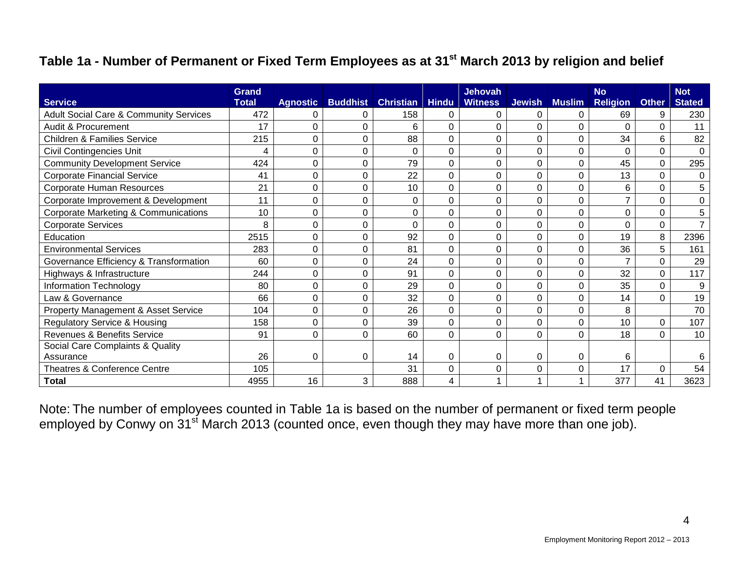#### **Table 1a - Number of Permanent or Fixed Term Employees as at 31st March 2013 by religion and belief**

| <b>Service</b>                                    | Grand<br><b>Total</b> | <b>Agnostic</b> | <b>Buddhist</b> | <b>Christian</b> | <b>Hindu</b> | <b>Jehovah</b><br><b>Witness</b> | <b>Jewish</b>  | <b>Muslim</b> | <b>No</b><br><b>Religion</b> | <b>Other</b> | <b>Not</b><br><b>Stated</b> |
|---------------------------------------------------|-----------------------|-----------------|-----------------|------------------|--------------|----------------------------------|----------------|---------------|------------------------------|--------------|-----------------------------|
| <b>Adult Social Care &amp; Community Services</b> | 472                   |                 | 0               | 158              | 0            | 0                                | 0              | 0             | 69                           | 9            | 230                         |
| Audit & Procurement                               | 17                    | $\Omega$        | 0               | 6                | 0            | 0                                | 0              | 0             | $\Omega$                     | 0            | 11                          |
| <b>Children &amp; Families Service</b>            | 215                   | C               | 0               | 88               | 0            | $\mathbf 0$                      | $\overline{0}$ | 0             | 34                           | 6            | 82                          |
| <b>Civil Contingencies Unit</b>                   | 4                     | $\Omega$        | $\pmb{0}$       | 0                | 0            | 0                                | 0              | 0             | 0                            | 0            | $\mathbf 0$                 |
| <b>Community Development Service</b>              | 424                   | C               | 0               | 79               | 0            | $\mathbf 0$                      | 0              | 0             | 45                           | 0            | 295                         |
| <b>Corporate Financial Service</b>                | 41                    |                 | 0               | 22               | 0            | $\mathbf 0$                      | 0              | 0             | 13                           | 0            | $\mathbf 0$                 |
| <b>Corporate Human Resources</b>                  | 21                    | 0               | 0               | 10               | 0            | $\overline{0}$                   | 0              | 0             | 6                            | 0            | 5                           |
| Corporate Improvement & Development               | 11                    | 0               | 0               | 0                | 0            | $\Omega$                         | 0              | 0             | $\overline{7}$               | 0            | $\mathbf 0$                 |
| <b>Corporate Marketing &amp; Communications</b>   | 10                    | 0               | 0               | 0                | 0            | $\mathbf 0$                      | 0              | 0             | 0                            | 0            | 5                           |
| <b>Corporate Services</b>                         | 8                     | C               | 0               | 0                | 0            | $\Omega$                         | 0              | 0             | 0                            | 0            | $\overline{7}$              |
| Education                                         | 2515                  | 0               | 0               | 92               | 0            | $\Omega$                         | 0              | 0             | 19                           | 8            | 2396                        |
| <b>Environmental Services</b>                     | 283                   |                 | 0               | 81               | 0            | 0                                | 0              | 0             | 36                           | 5            | 161                         |
| Governance Efficiency & Transformation            | 60                    | 0               | $\mathbf 0$     | 24               | 0            | $\overline{0}$                   | 0              | 0             | $\overline{7}$               | 0            | 29                          |
| Highways & Infrastructure                         | 244                   | 0               | 0               | 91               | 0            | $\Omega$                         | 0              | 0             | 32                           | 0            | 117                         |
| Information Technology                            | 80                    | 0               | $\pmb{0}$       | 29               | 0            | $\Omega$                         | 0              | 0             | 35                           | 0            | 9                           |
| Law & Governance                                  | 66                    |                 | 0               | 32               | 0            | $\Omega$                         | 0              | 0             | 14                           | 0            | 19                          |
| Property Management & Asset Service               | 104                   | 0               | 0               | 26               | 0            | $\Omega$                         | 0              | 0             | 8                            |              | 70                          |
| <b>Regulatory Service &amp; Housing</b>           | 158                   | 0               | 0               | 39               | 0            | 0                                | 0              | 0             | 10                           | 0            | 107                         |
| Revenues & Benefits Service                       | 91                    | $\Omega$        | $\mathbf 0$     | 60               | 0            | $\overline{0}$                   | 0              | 0             | 18                           | $\Omega$     | 10                          |
| Social Care Complaints & Quality                  |                       |                 |                 |                  |              |                                  |                |               |                              |              |                             |
| Assurance                                         | 26                    | 0               | $\pmb{0}$       | 14               | 0            | 0                                | 0              | 0             | 6                            |              | 6                           |
| Theatres & Conference Centre                      | 105                   |                 |                 | 31               | 0            | 0                                | 0              | 0             | 17                           | 0            | 54                          |
| <b>Total</b>                                      | 4955                  | 16              | 3               | 888              | 4            |                                  |                | 1             | 377                          | 41           | 3623                        |

Note: The number of employees counted in Table 1a is based on the number of permanent or fixed term people employed by Conwy on 31<sup>st</sup> March 2013 (counted once, even though they may have more than one job).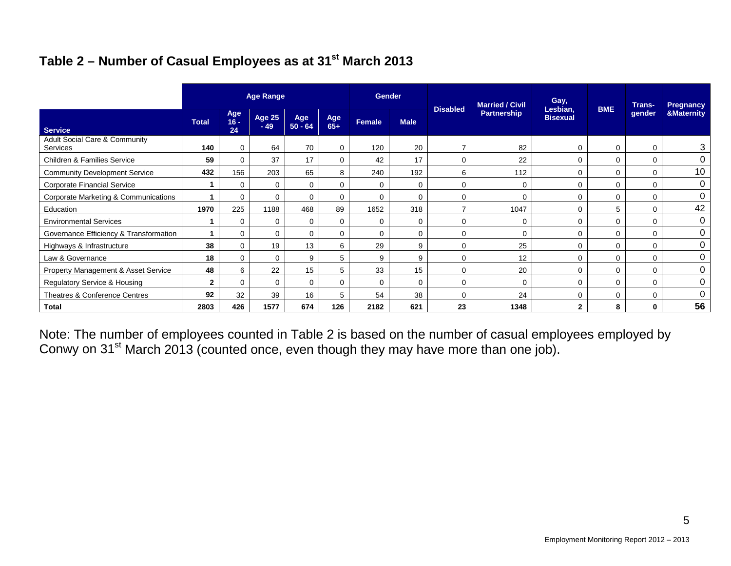### **Table 2 – Number of Casual Employees as at 31st March 2013**

|                                                      | <b>Age Range</b> |                   |                        |                  | <b>Gender</b> |        |             | <b>Married / Civil</b> | Gay,               |                             | <b>Trans-</b> | <b>Pregnancy</b> |                       |
|------------------------------------------------------|------------------|-------------------|------------------------|------------------|---------------|--------|-------------|------------------------|--------------------|-----------------------------|---------------|------------------|-----------------------|
| <b>Service</b>                                       | <b>Total</b>     | Age<br>16 -<br>24 | <b>Age 25</b><br>$-49$ | Age<br>$50 - 64$ | Age<br>$65+$  | Female | <b>Male</b> | <b>Disabled</b>        | <b>Partnership</b> | Lesbian,<br><b>Bisexual</b> | <b>BME</b>    | gender           | <b>&amp;Maternity</b> |
| <b>Adult Social Care &amp; Community</b><br>Services | 140              | 0                 | 64                     | 70               | 0             | 120    | 20          |                        | 82                 | 0                           | 0             | $\Omega$         | 3                     |
| Children & Families Service                          | 59               | 0                 | 37                     | 17               | 0             | 42     | 17          | 0                      | 22                 | 0                           | 0             | 0                | 0                     |
| <b>Community Development Service</b>                 | 432              | 156               | 203                    | 65               | 8             | 240    | 192         | 6                      | 112                | $\mathbf 0$                 | $\Omega$      | 0                | 10                    |
| <b>Corporate Financial Service</b>                   |                  | $\Omega$          | $\mathbf 0$            | 0                | 0             | 0      | 0           | 0                      | 0                  | $\mathbf 0$                 | 0             | 0                | 0                     |
| Corporate Marketing & Communications                 |                  | $\Omega$          | $\mathbf 0$            | $\mathbf 0$      | $\mathbf 0$   | 0      | $\mathbf 0$ | $\Omega$               | $\mathbf 0$        | $\mathbf 0$                 | $\Omega$      | $\Omega$         | 0                     |
| Education                                            | 1970             | 225               | 1188                   | 468              | 89            | 1652   | 318         | ⇁                      | 1047               | $\mathbf 0$                 | 5             | $\Omega$         | 42                    |
| <b>Environmental Services</b>                        |                  | $\Omega$          | 0                      | $\mathbf 0$      | $\Omega$      | 0      | 0           | $\Omega$               | 0                  | $\mathbf 0$                 | $\Omega$      | $\Omega$         | 0                     |
| Governance Efficiency & Transformation               |                  | $\Omega$          | $\Omega$               | $\mathbf 0$      | $\Omega$      | 0      | $\Omega$    | $\Omega$               | 0                  | 0                           | $\Omega$      | $\Omega$         | 0                     |
| Highways & Infrastructure                            | 38               | $\Omega$          | 19                     | 13               | 6             | 29     | 9           | $\Omega$               | 25                 | $\mathbf 0$                 | $\Omega$      | $\Omega$         | 0                     |
| Law & Governance                                     | 18               | $\Omega$          | 0                      | 9                | 5             | 9      | 9           | 0                      | 12                 | 0                           | 0             | $\Omega$         | 0                     |
| Property Management & Asset Service                  | 48               | 6                 | 22                     | 15               | 5             | 33     | 15          | $\Omega$               | 20                 | 0                           | $\Omega$      | $\Omega$         | 0                     |
| Regulatory Service & Housing                         | $\mathbf{2}$     | $\Omega$          | $\Omega$               | $\mathbf 0$      | $\Omega$      | 0      | 0           | $\Omega$               | $\mathbf 0$        | 0                           | $\Omega$      | $\Omega$         | 0                     |
| Theatres & Conference Centres                        | 92               | 32                | 39                     | 16               | 5             | 54     | 38          | $\Omega$               | 24                 | 0                           | $\Omega$      | $\Omega$         | 0                     |
| <b>Total</b>                                         | 2803             | 426               | 1577                   | 674              | 126           | 2182   | 621         | 23                     | 1348               | $\overline{2}$              | 8             | 0                | 56                    |

Note: The number of employees counted in Table 2 is based on the number of casual employees employed by Conwy on 31<sup>st</sup> March 2013 (counted once, even though they may have more than one job).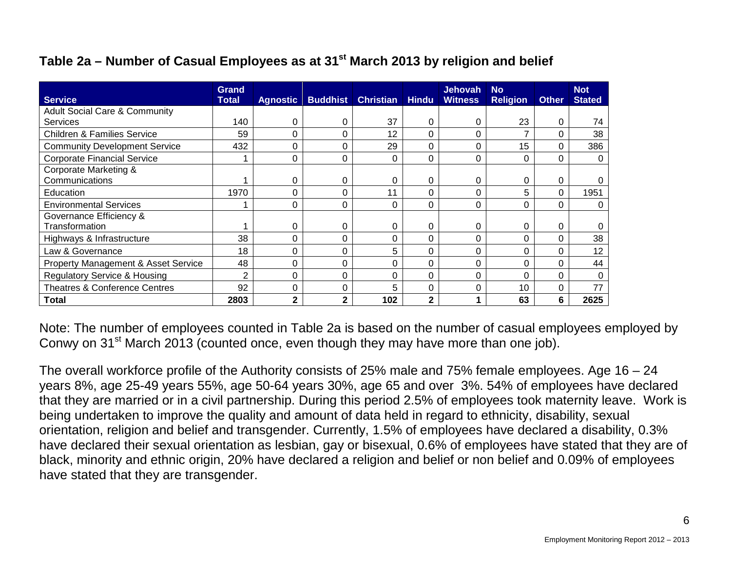#### **Table 2a – Number of Casual Employees as at 31st March 2013 by religion and belief**

| <b>Service</b>                           | Grand<br>Total | <b>Agnostic</b> | <b>Buddhist</b> | <b>Christian Hindu</b> |              | <b>Jehovah</b><br><b>Witness</b> | <b>No</b><br><b>Religion</b> | <b>Other</b> | <b>Not</b><br><b>Stated</b> |
|------------------------------------------|----------------|-----------------|-----------------|------------------------|--------------|----------------------------------|------------------------------|--------------|-----------------------------|
| <b>Adult Social Care &amp; Community</b> |                |                 |                 |                        |              |                                  |                              |              |                             |
| Services                                 | 140            | 0               | 0               | 37                     | 0            | 0                                | 23                           | 0            | 74                          |
| <b>Children &amp; Families Service</b>   | 59             | 0               | 0               | 12                     | 0            | 0                                |                              | 0            | 38                          |
| <b>Community Development Service</b>     | 432            | 0               | 0               | 29                     |              | 0                                | 15                           | 0            | 386                         |
| <b>Corporate Financial Service</b>       |                | 0               | 0               | 0                      | 0            | 0                                | 0                            | 0            | $\Omega$                    |
| Corporate Marketing &                    |                |                 |                 |                        |              |                                  |                              |              |                             |
| Communications                           |                | 0               | 0               | 0                      | 0            | 0                                | 0                            | 0            |                             |
| Education                                | 1970           | ი               | 0               | 11                     | 0            | ი                                | 5                            | $\Omega$     | 1951                        |
| <b>Environmental Services</b>            |                | 0               | 0               | 0                      | 0            | 0                                | 0                            | 0            | 0                           |
| Governance Efficiency &                  |                |                 |                 |                        |              |                                  |                              |              |                             |
| Transformation                           |                | 0               | 0               | 0                      | 0            | 0                                | 0                            | 0            |                             |
| Highways & Infrastructure                | 38             | 0               | 0               | 0                      | 0            | 0                                | 0                            | 0            | 38                          |
| Law & Governance                         | 18             | 0               | 0               | 5                      | 0            | 0                                | 0                            | 0            | 12                          |
| Property Management & Asset Service      | 48             | 0               | 0               | 0                      | 0            | 0                                | $\Omega$                     | 0            | 44                          |
| <b>Regulatory Service &amp; Housing</b>  | $\overline{2}$ | 0               | 0               | 0                      | 0            | 0                                | ი                            | 0            | ∩                           |
| <b>Theatres &amp; Conference Centres</b> | 92             | 0               | 0               | 5                      | 0            | 0                                | 10                           | 0            | 77                          |
| <b>Total</b>                             | 2803           | 2               | $\mathbf{2}$    | 102                    | $\mathbf{2}$ |                                  | 63                           | 6            | 2625                        |

Note: The number of employees counted in Table 2a is based on the number of casual employees employed by Conwy on 31<sup>st</sup> March 2013 (counted once, even though they may have more than one job).

The overall workforce profile of the Authority consists of 25% male and 75% female employees. Age 16 – 24 years 8%, age 25-49 years 55%, age 50-64 years 30%, age 65 and over 3%. 54% of employees have declared that they are married or in a civil partnership. During this period 2.5% of employees took maternity leave. Work is being undertaken to improve the quality and amount of data held in regard to ethnicity, disability, sexual orientation, religion and belief and transgender. Currently, 1.5% of employees have declared a disability, 0.3% have declared their sexual orientation as lesbian, gay or bisexual, 0.6% of employees have stated that they are of black, minority and ethnic origin, 20% have declared a religion and belief or non belief and 0.09% of employees have stated that they are transgender.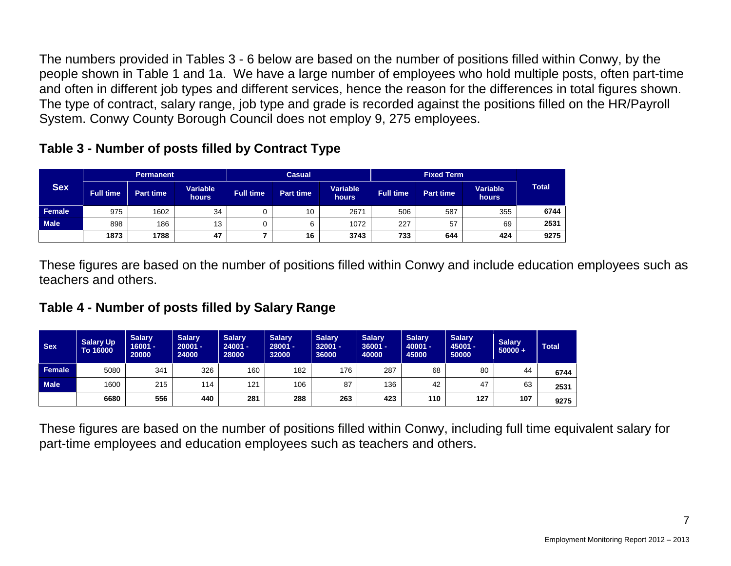The numbers provided in Tables 3 - 6 below are based on the number of positions filled within Conwy, by the people shown in Table 1 and 1a. We have a large number of employees who hold multiple posts, often part-time and often in different job types and different services, hence the reason for the differences in total figures shown. The type of contract, salary range, job type and grade is recorded against the positions filled on the HR/Payroll System. Conwy County Borough Council does not employ 9, 275 employees.

| Table 3 - Number of posts filled by Contract Type |  |  |  |  |
|---------------------------------------------------|--|--|--|--|
|---------------------------------------------------|--|--|--|--|

|             |                  | <b>Permanent</b> |                   |                  | <b>Casual</b>    |                          |                  | <b>Fixed Term</b> |                   |              |
|-------------|------------------|------------------|-------------------|------------------|------------------|--------------------------|------------------|-------------------|-------------------|--------------|
| <b>Sex</b>  | <b>Full time</b> | <b>Part time</b> | Variable<br>hours | <b>Full time</b> | <b>Part time</b> | Variable<br><b>hours</b> | <b>Full time</b> | <b>Part time</b>  | Variable<br>hours | <b>Total</b> |
| Female      | 975              | 1602             | 34                |                  | 10               | 2671                     | 506              | 587               | 355               | 6744         |
| <b>Male</b> | 898              | 186              | 13                |                  |                  | 1072                     | 227              | 57                | 69                | 2531         |
|             | 1873             | 1788             | 47                |                  | 16               | 3743                     | 733              | 644               | 424               | 9275         |

These figures are based on the number of positions filled within Conwy and include education employees such as teachers and others.

#### **Table 4 - Number of posts filled by Salary Range**

| <b>Sex</b>  | <b>Salary Up</b><br>To 16000 | <b>Salary</b><br>$16001 -$<br>20000 | <b>Salary</b><br>$20001 -$<br>24000 | <b>Salary</b><br>$24001 -$<br>28000 | <b>Salarv</b><br>$28001 -$<br>32000 | <b>Salarv</b><br>$32001 -$<br>36000 | <b>Salary</b><br>$36001 -$<br>40000 | <b>Salary</b><br>$40001 -$<br>45000 | <b>Salary</b><br>$45001 -$<br>50000 | <b>Salary</b><br>$50000 +$ | <b>Total</b> |
|-------------|------------------------------|-------------------------------------|-------------------------------------|-------------------------------------|-------------------------------------|-------------------------------------|-------------------------------------|-------------------------------------|-------------------------------------|----------------------------|--------------|
| Female      | 5080                         | 341                                 | 326                                 | 160                                 | 182                                 | 176                                 | 287                                 | 68                                  | 80                                  | 44                         | 6744         |
| <b>Male</b> | 1600                         | 215                                 | 114                                 | 121                                 | 106                                 | 87                                  | 136                                 | 42                                  | 47                                  | 63                         | 2531         |
|             | 6680                         | 556                                 | 440                                 | 281                                 | 288                                 | 263                                 | 423                                 | 110                                 | 127                                 | 107                        | 9275         |

These figures are based on the number of positions filled within Conwy, including full time equivalent salary for part-time employees and education employees such as teachers and others.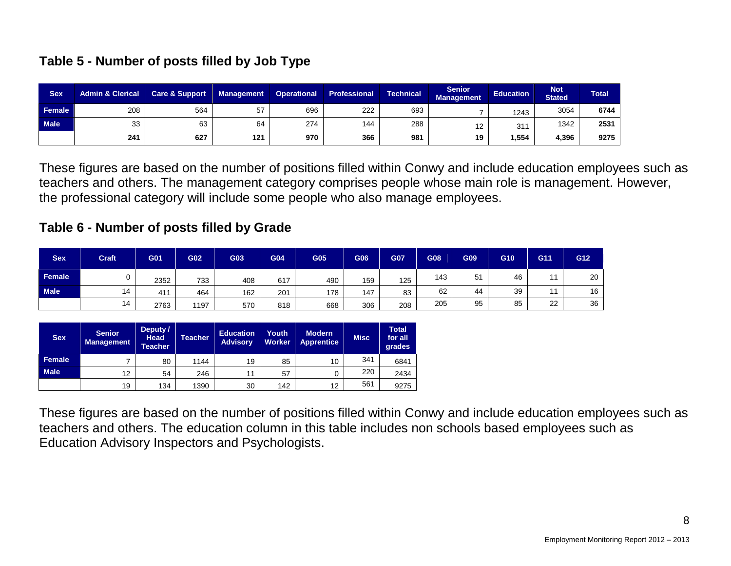| <b>Sex</b>    | <b>Admin &amp; Clerical</b> | <b>Care &amp; Support</b> | <b>Management</b> | <b>Operational</b> | <b>Professional</b> | <b>Technical</b> | <b>Senior</b><br><b>Management</b> | <b>Education</b> | <b>Not</b><br><b>Stated</b> | <b>Total</b> |
|---------------|-----------------------------|---------------------------|-------------------|--------------------|---------------------|------------------|------------------------------------|------------------|-----------------------------|--------------|
| <b>Female</b> | 208                         | 564                       | 57                | 696                | 222                 | 693              |                                    | 1243             | 3054                        | 6744         |
| <b>Male</b>   | 33                          | 63                        | 64                | 274                | 144                 | 288              |                                    | 31'              | 1342                        | 2531         |
|               | 241                         | 627                       | 121               | 970                | 366                 | 981              | 19                                 | 1,554            | 4,396                       | 9275         |

These figures are based on the number of positions filled within Conwy and include education employees such as teachers and others. The management category comprises people whose main role is management. However, the professional category will include some people who also manage employees.

#### **Table 6 - Number of posts filled by Grade**

| <b>Sex</b>  | <b>Craft</b> | G01  | G02  | G03 | G04 | <b>G05</b> | G06 | G07 | G08 | <b>G09</b> | G10 | G11 | G12 |
|-------------|--------------|------|------|-----|-----|------------|-----|-----|-----|------------|-----|-----|-----|
| Female      |              | 2352 | 733  | 408 | 617 | 490        | 159 | 125 | 143 | 51         | 46  | 11  | 20  |
| <b>Male</b> | 14           | 411  | 464  | 162 | 201 | 178        | 147 | 83  | 62  | 44         | 39  |     | 16  |
|             | 14           | 2763 | 1197 | 570 | 818 | 668        | 306 | 208 | 205 | 95         | 85  | 22  | 36  |

| <b>Sex</b>  | <b>Senior</b><br><b>Management</b> | Deputy /<br><b>Head</b><br><b>Teacher</b> | <b>Teacher</b> | <b>Education</b><br><b>Advisory</b> | Youth<br><b>Worker</b> | <b>Modern</b><br><b>Apprentice</b> | <b>Misc</b> | <b>Total</b><br>for all<br>grades |
|-------------|------------------------------------|-------------------------------------------|----------------|-------------------------------------|------------------------|------------------------------------|-------------|-----------------------------------|
| Female      |                                    | 80                                        | 1144           | 19                                  | 85                     | 10                                 | 341         | 6841                              |
| <b>Male</b> | 12                                 | 54                                        | 246            | 11                                  | 57                     |                                    | 220         | 2434                              |
|             | 19                                 | 134                                       | 1390           | 30                                  | 142                    | 12                                 | 561         | 9275                              |

These figures are based on the number of positions filled within Conwy and include education employees such as teachers and others. The education column in this table includes non schools based employees such as Education Advisory Inspectors and Psychologists.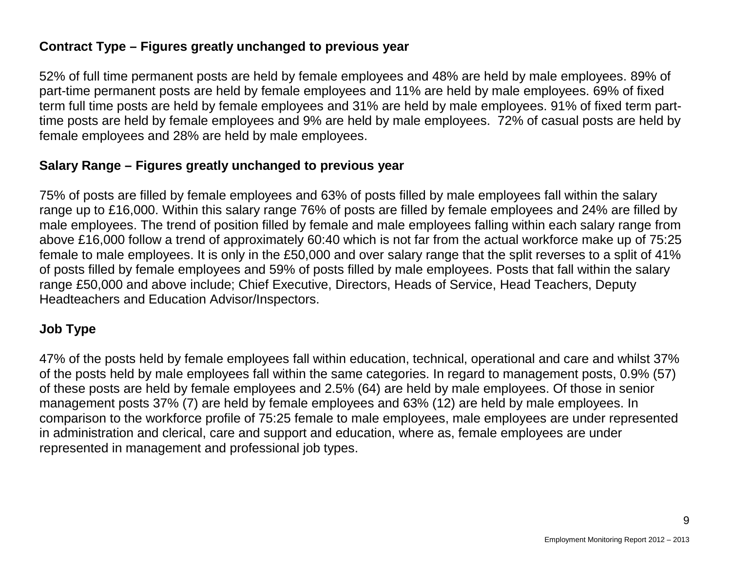#### **Contract Type – Figures greatly unchanged to previous year**

52% of full time permanent posts are held by female employees and 48% are held by male employees. 89% of part-time permanent posts are held by female employees and 11% are held by male employees. 69% of fixed term full time posts are held by female employees and 31% are held by male employees. 91% of fixed term parttime posts are held by female employees and 9% are held by male employees. 72% of casual posts are held by female employees and 28% are held by male employees.

#### **Salary Range – Figures greatly unchanged to previous year**

75% of posts are filled by female employees and 63% of posts filled by male employees fall within the salary range up to £16,000. Within this salary range 76% of posts are filled by female employees and 24% are filled by male employees. The trend of position filled by female and male employees falling within each salary range from above £16,000 follow a trend of approximately 60:40 which is not far from the actual workforce make up of 75:25 female to male employees. It is only in the £50,000 and over salary range that the split reverses to a split of 41% of posts filled by female employees and 59% of posts filled by male employees. Posts that fall within the salary range £50,000 and above include; Chief Executive, Directors, Heads of Service, Head Teachers, Deputy Headteachers and Education Advisor/Inspectors.

#### **Job Type**

47% of the posts held by female employees fall within education, technical, operational and care and whilst 37% of the posts held by male employees fall within the same categories. In regard to management posts, 0.9% (57) of these posts are held by female employees and 2.5% (64) are held by male employees. Of those in senior management posts 37% (7) are held by female employees and 63% (12) are held by male employees. In comparison to the workforce profile of 75:25 female to male employees, male employees are under represented in administration and clerical, care and support and education, where as, female employees are under represented in management and professional job types.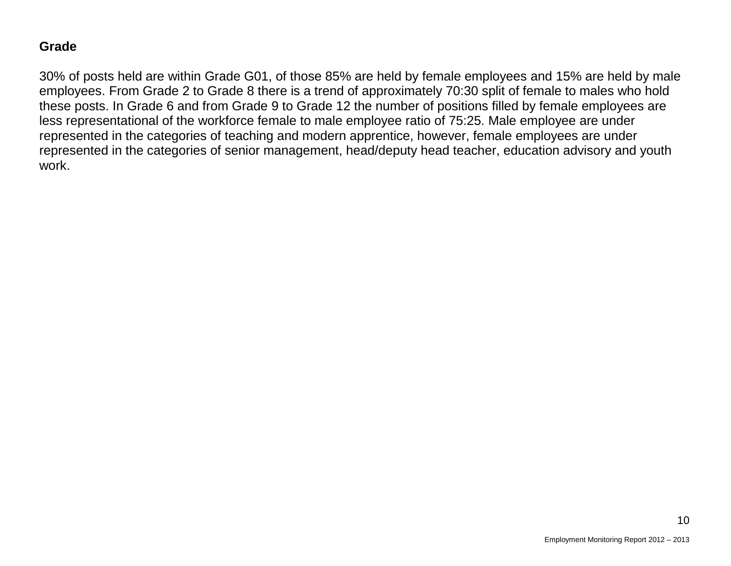#### **Grade**

30% of posts held are within Grade G01, of those 85% are held by female employees and 15% are held by male employees. From Grade 2 to Grade 8 there is a trend of approximately 70:30 split of female to males who hold these posts. In Grade 6 and from Grade 9 to Grade 12 the number of positions filled by female employees are less representational of the workforce female to male employee ratio of 75:25. Male employee are under represented in the categories of teaching and modern apprentice, however, female employees are under represented in the categories of senior management, head/deputy head teacher, education advisory and youth work.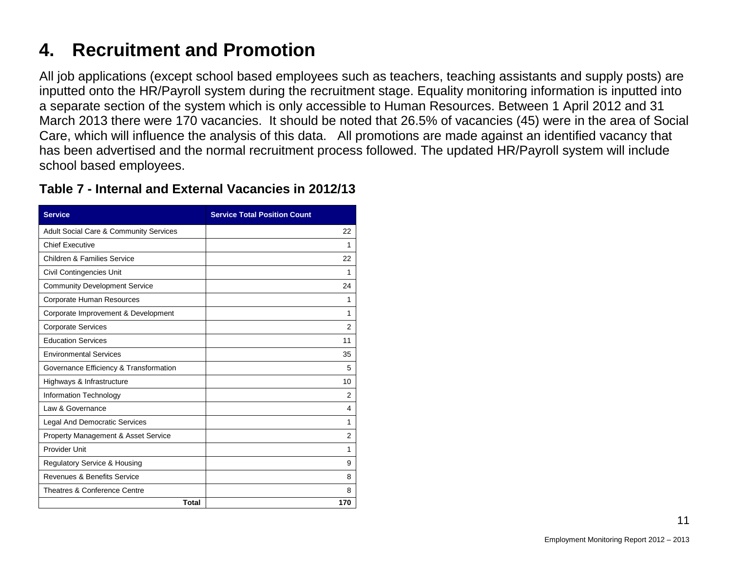## **4. Recruitment and Promotion**

All job applications (except school based employees such as teachers, teaching assistants and supply posts) are inputted onto the HR/Payroll system during the recruitment stage. Equality monitoring information is inputted into a separate section of the system which is only accessible to Human Resources. Between 1 April 2012 and 31 March 2013 there were 170 vacancies. It should be noted that 26.5% of vacancies (45) were in the area of Social Care, which will influence the analysis of this data. All promotions are made against an identified vacancy that has been advertised and the normal recruitment process followed. The updated HR/Payroll system will include school based employees.

| <b>Service</b>                                    | <b>Service Total Position Count</b> |
|---------------------------------------------------|-------------------------------------|
| <b>Adult Social Care &amp; Community Services</b> | 22                                  |
| <b>Chief Executive</b>                            | 1                                   |
| <b>Children &amp; Families Service</b>            | 22                                  |
| Civil Contingencies Unit                          | 1                                   |
| <b>Community Development Service</b>              | 24                                  |
| Corporate Human Resources                         | 1                                   |
| Corporate Improvement & Development               | 1                                   |
| <b>Corporate Services</b>                         | 2                                   |
| <b>Education Services</b>                         | 11                                  |
| <b>Environmental Services</b>                     | 35                                  |
| Governance Efficiency & Transformation            | 5                                   |
| Highways & Infrastructure                         | 10                                  |
| Information Technology                            | 2                                   |
| Law & Governance                                  | 4                                   |
| Legal And Democratic Services                     | $\mathbf{1}$                        |
| <b>Property Management &amp; Asset Service</b>    | 2                                   |
| Provider Unit                                     | 1                                   |
| <b>Regulatory Service &amp; Housing</b>           | 9                                   |
| Revenues & Benefits Service                       | 8                                   |
| Theatres & Conference Centre                      | 8                                   |
| <b>Total</b>                                      | 170                                 |

#### **Table 7 - Internal and External Vacancies in 2012/13**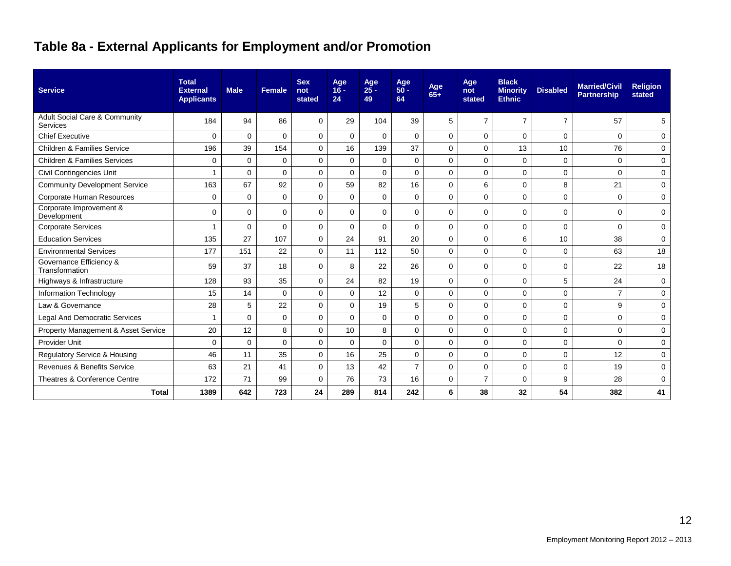## **Table 8a - External Applicants for Employment and/or Promotion**

| <b>Service</b>                                       | <b>Total</b><br><b>External</b><br><b>Applicants</b> | <b>Male</b> | <b>Female</b> | <b>Sex</b><br>not<br>stated | Age<br>$16 -$<br>24 | Age<br>$25 -$<br>49 | Age<br>$50 -$<br>64 | Age<br>$65+$ | Age<br>not<br>stated | <b>Black</b><br><b>Minority</b><br><b>Ethnic</b> | <b>Disabled</b> | <b>Married/Civil</b><br><b>Partnership</b> | <b>Religion</b><br>stated |
|------------------------------------------------------|------------------------------------------------------|-------------|---------------|-----------------------------|---------------------|---------------------|---------------------|--------------|----------------------|--------------------------------------------------|-----------------|--------------------------------------------|---------------------------|
| <b>Adult Social Care &amp; Community</b><br>Services | 184                                                  | 94          | 86            | 0                           | 29                  | 104                 | 39                  | 5            | $\overline{7}$       | $\overline{7}$                                   | $\overline{7}$  | 57                                         | 5                         |
| <b>Chief Executive</b>                               | $\Omega$                                             | $\Omega$    | $\Omega$      | $\Omega$                    | $\mathbf 0$         | $\Omega$            | $\Omega$            | $\Omega$     | $\Omega$             | 0                                                | $\mathbf 0$     | $\Omega$                                   | 0                         |
| <b>Children &amp; Families Service</b>               | 196                                                  | 39          | 154           | $\mathbf 0$                 | 16                  | 139                 | 37                  | $\Omega$     | 0                    | 13                                               | 10              | 76                                         | $\mathbf 0$               |
| <b>Children &amp; Families Services</b>              | $\mathbf 0$                                          | $\Omega$    | $\Omega$      | $\mathbf 0$                 | $\Omega$            | $\mathbf{0}$        | $\mathbf 0$         | $\mathbf 0$  | 0                    | $\mathbf 0$                                      | $\mathbf 0$     | $\Omega$                                   | $\mathbf 0$               |
| Civil Contingencies Unit                             |                                                      | $\Omega$    | $\Omega$      | $\Omega$                    | $\Omega$            | $\Omega$            | $\Omega$            | $\Omega$     | $\Omega$             | $\mathbf 0$                                      | $\mathbf 0$     | $\Omega$                                   | $\mathbf 0$               |
| <b>Community Development Service</b>                 | 163                                                  | 67          | 92            | $\Omega$                    | 59                  | 82                  | 16                  | $\Omega$     | 6                    | $\mathbf 0$                                      | 8               | 21                                         | $\mathbf 0$               |
| Corporate Human Resources                            | $\Omega$                                             | $\Omega$    | $\Omega$      | $\Omega$                    | $\Omega$            | $\Omega$            | $\Omega$            | $\Omega$     | $\Omega$             | $\mathbf 0$                                      | $\mathbf 0$     | $\Omega$                                   | $\mathbf 0$               |
| Corporate Improvement &<br>Development               | $\Omega$                                             | $\Omega$    | $\Omega$      | $\Omega$                    | $\Omega$            | $\Omega$            | $\Omega$            | $\Omega$     | $\Omega$             | $\Omega$                                         | $\Omega$        | $\Omega$                                   | $\Omega$                  |
| <b>Corporate Services</b>                            |                                                      | $\Omega$    | $\Omega$      | $\mathbf 0$                 | $\Omega$            | $\mathbf 0$         | $\Omega$            | $\Omega$     | $\mathbf 0$          | $\mathbf 0$                                      | 0               | $\Omega$                                   | $\mathbf 0$               |
| <b>Education Services</b>                            | 135                                                  | 27          | 107           | $\mathbf 0$                 | 24                  | 91                  | 20                  | $\mathbf 0$  | $\mathbf 0$          | 6                                                | 10              | 38                                         | $\mathbf 0$               |
| <b>Environmental Services</b>                        | 177                                                  | 151         | 22            | $\mathbf 0$                 | 11                  | 112                 | 50                  | $\mathbf 0$  | 0                    | $\mathbf 0$                                      | $\mathbf 0$     | 63                                         | 18                        |
| Governance Efficiency &<br>Transformation            | 59                                                   | 37          | 18            | $\Omega$                    | 8                   | 22                  | 26                  | $\Omega$     | $\Omega$             | $\Omega$                                         | $\mathbf 0$     | 22                                         | 18                        |
| Highways & Infrastructure                            | 128                                                  | 93          | 35            | $\mathbf 0$                 | 24                  | 82                  | 19                  | $\Omega$     | 0                    | $\mathbf 0$                                      | 5               | 24                                         | $\mathbf 0$               |
| Information Technology                               | 15                                                   | 14          | $\Omega$      | $\Omega$                    | $\Omega$            | 12                  | $\Omega$            | $\Omega$     | $\Omega$             | $\mathbf 0$                                      | 0               | $\overline{7}$                             | $\mathbf 0$               |
| Law & Governance                                     | 28                                                   | 5           | 22            | $\Omega$                    | $\Omega$            | 19                  | 5                   | $\Omega$     | $\Omega$             | $\Omega$                                         | $\mathbf 0$     | 9                                          | $\mathbf 0$               |
| <b>Legal And Democratic Services</b>                 |                                                      | $\Omega$    | $\mathbf 0$   | $\mathbf 0$                 | $\Omega$            | $\mathbf 0$         | $\Omega$            | $\Omega$     | $\mathbf 0$          | $\mathbf 0$                                      | 0               | $\Omega$                                   | $\mathbf 0$               |
| Property Management & Asset Service                  | 20                                                   | 12          | 8             | $\mathbf 0$                 | 10                  | 8                   | $\mathbf 0$         | $\mathbf 0$  | $\mathbf 0$          | 0                                                | $\mathbf 0$     | $\Omega$                                   | 0                         |
| <b>Provider Unit</b>                                 | $\mathbf 0$                                          | $\Omega$    | $\Omega$      | $\mathbf 0$                 | $\Omega$            | $\Omega$            | $\mathbf 0$         | $\mathbf 0$  | $\mathbf 0$          | 0                                                | 0               | $\Omega$                                   | $\mathbf 0$               |
| Regulatory Service & Housing                         | 46                                                   | 11          | 35            | $\mathbf 0$                 | 16                  | 25                  | $\mathbf 0$         | $\Omega$     | $\mathbf 0$          | 0                                                | 0               | 12                                         | $\mathbf 0$               |
| Revenues & Benefits Service                          | 63                                                   | 21          | 41            | $\mathbf 0$                 | 13                  | 42                  | $\overline{7}$      | $\mathbf 0$  | $\mathbf 0$          | $\mathbf 0$                                      | $\mathbf 0$     | 19                                         | $\mathbf 0$               |
| Theatres & Conference Centre                         | 172                                                  | 71          | 99            | $\Omega$                    | 76                  | 73                  | 16                  | 0            | $\overline{7}$       | 0                                                | 9               | 28                                         | $\mathbf 0$               |
| <b>Total</b>                                         | 1389                                                 | 642         | 723           | 24                          | 289                 | 814                 | 242                 | 6            | 38                   | 32                                               | 54              | 382                                        | 41                        |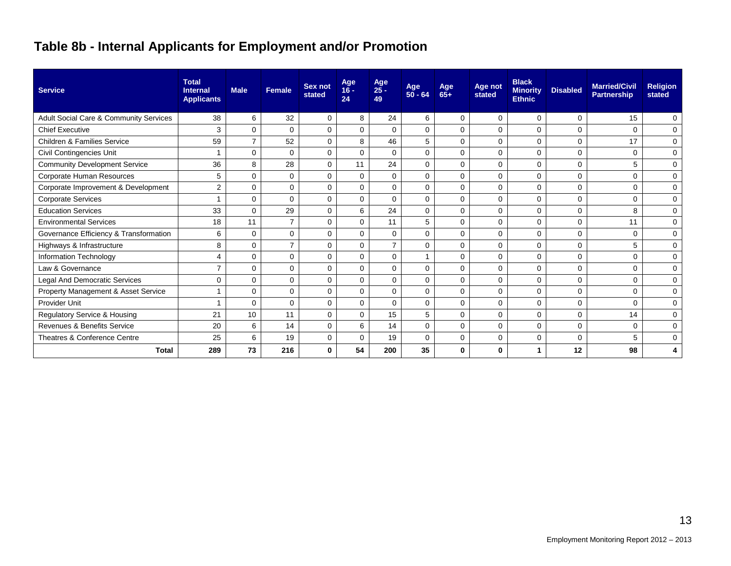## **Table 8b - Internal Applicants for Employment and/or Promotion**

| <b>Service</b>                         | <b>Total</b><br><b>Internal</b><br><b>Applicants</b> | <b>Male</b>    | <b>Female</b>  | Sex not<br>stated | Age<br>$16 -$<br>24 | Age<br>$25 -$<br>49 | Age<br>$50 - 64$ | Age<br>65+  | Age not<br>stated | <b>Black</b><br><b>Minority</b><br><b>Ethnic</b> | <b>Disabled</b> | <b>Married/Civil</b><br><b>Partnership</b> | <b>Religion</b><br>stated |
|----------------------------------------|------------------------------------------------------|----------------|----------------|-------------------|---------------------|---------------------|------------------|-------------|-------------------|--------------------------------------------------|-----------------|--------------------------------------------|---------------------------|
| Adult Social Care & Community Services | 38                                                   | 6              | 32             | 0                 | 8                   | 24                  | 6                | $\Omega$    | 0                 | $\mathbf 0$                                      | $\Omega$        | 15                                         | $\mathbf 0$               |
| <b>Chief Executive</b>                 | 3                                                    | $\Omega$       | $\Omega$       | 0                 | $\mathbf 0$         | $\Omega$            | $\Omega$         | $\Omega$    | $\mathbf 0$       | $\mathbf 0$                                      | 0               | $\Omega$                                   | 0                         |
| <b>Children &amp; Families Service</b> | 59                                                   | $\overline{7}$ | 52             | 0                 | 8                   | 46                  | 5                | $\Omega$    | $\Omega$          | $\mathbf 0$                                      | $\Omega$        | 17                                         | 0                         |
| Civil Contingencies Unit               | 1                                                    | $\Omega$       | 0              | 0                 | $\mathbf 0$         | $\Omega$            | $\Omega$         | $\Omega$    | $\mathbf 0$       | 0                                                | 0               | $\Omega$                                   | 0                         |
| <b>Community Development Service</b>   | 36                                                   | 8              | 28             | $\mathbf 0$       | 11                  | 24                  | $\Omega$         | $\Omega$    | $\Omega$          | $\mathbf 0$                                      | $\Omega$        | 5                                          | $\mathbf 0$               |
| Corporate Human Resources              | 5                                                    | $\Omega$       | $\Omega$       | $\mathbf 0$       | $\Omega$            | $\Omega$            | $\Omega$         | $\Omega$    | $\Omega$          | $\mathbf{0}$                                     | $\Omega$        | $\Omega$                                   | 0                         |
| Corporate Improvement & Development    | 2                                                    | $\Omega$       | $\Omega$       | $\Omega$          | $\Omega$            | $\Omega$            | $\Omega$         | $\Omega$    | $\Omega$          | $\Omega$                                         | $\Omega$        | $\Omega$                                   | $\mathbf 0$               |
| <b>Corporate Services</b>              | 1                                                    | $\Omega$       | $\Omega$       | $\Omega$          | $\Omega$            | $\Omega$            | $\Omega$         | $\Omega$    | $\Omega$          | $\mathbf{0}$                                     | $\Omega$        | $\Omega$                                   | 0                         |
| <b>Education Services</b>              | 33                                                   | $\Omega$       | 29             | $\mathbf 0$       | 6                   | 24                  | $\Omega$         | $\Omega$    | $\Omega$          | $\mathbf 0$                                      | $\Omega$        | 8                                          | 0                         |
| <b>Environmental Services</b>          | 18                                                   | 11             | $\overline{7}$ | $\mathbf 0$       | $\mathbf 0$         | 11                  | 5                | $\Omega$    | $\mathbf 0$       | $\mathbf{0}$                                     | $\Omega$        | 11                                         | $\mathbf 0$               |
| Governance Efficiency & Transformation | 6                                                    | $\Omega$       | $\mathbf 0$    | $\mathbf 0$       | 0                   | $\mathbf 0$         | $\Omega$         | $\mathbf 0$ | 0                 | $\mathbf 0$                                      | $\Omega$        | $\mathbf 0$                                | $\mathbf 0$               |
| Highways & Infrastructure              | 8                                                    | $\Omega$       | $\overline{7}$ | $\mathbf 0$       | $\Omega$            | 7                   | $\Omega$         | $\Omega$    | $\Omega$          | $\mathbf{0}$                                     | $\Omega$        | 5                                          | 0                         |
| Information Technology                 | 4                                                    | $\Omega$       | $\mathbf 0$    | $\mathbf 0$       | $\mathbf 0$         | $\Omega$            |                  | $\Omega$    | $\Omega$          | $\mathbf 0$                                      | $\Omega$        | $\mathbf 0$                                | 0                         |
| Law & Governance                       | $\overline{7}$                                       | $\Omega$       | $\mathbf 0$    | $\mathbf 0$       | $\Omega$            | $\Omega$            | $\Omega$         | $\Omega$    | 0                 | $\mathbf 0$                                      | $\Omega$        | $\mathbf 0$                                | 0                         |
| Legal And Democratic Services          | $\mathbf 0$                                          | $\Omega$       | $\mathbf 0$    | $\mathbf 0$       | $\Omega$            | $\Omega$            | $\Omega$         | $\Omega$    | 0                 | $\mathbf 0$                                      | 0               | $\Omega$                                   | 0                         |
| Property Management & Asset Service    |                                                      | $\Omega$       | $\mathbf 0$    | $\mathbf 0$       | $\Omega$            | $\Omega$            | $\Omega$         | 0           | 0                 | $\mathbf{0}$                                     | 0               | $\mathbf 0$                                | 0                         |
| <b>Provider Unit</b>                   | 4                                                    | 0              | 0              | $\mathbf 0$       | 0                   | $\Omega$            | 0                | 0           | 0                 | $\mathbf 0$                                      | 0               | 0                                          | 0                         |
| Regulatory Service & Housing           | 21                                                   | 10             | 11             | 0                 | $\Omega$            | 15                  | 5                | $\mathbf 0$ | 0                 | 0                                                | 0               | 14                                         | 0                         |
| <b>Revenues &amp; Benefits Service</b> | 20                                                   | 6              | 14             | 0                 | 6                   | 14                  | $\Omega$         | $\mathbf 0$ | 0                 | 0                                                | 0               | $\mathbf 0$                                | 0                         |
| Theatres & Conference Centre           | 25                                                   | 6              | 19             | 0                 | $\Omega$            | 19                  | $\Omega$         | $\Omega$    | $\Omega$          | 0                                                | 0               | 5                                          | 0                         |
| <b>Total</b>                           | 289                                                  | 73             | 216            | $\mathbf 0$       | 54                  | 200                 | 35               | $\bf{0}$    | 0                 | 1                                                | 12              | 98                                         | 4                         |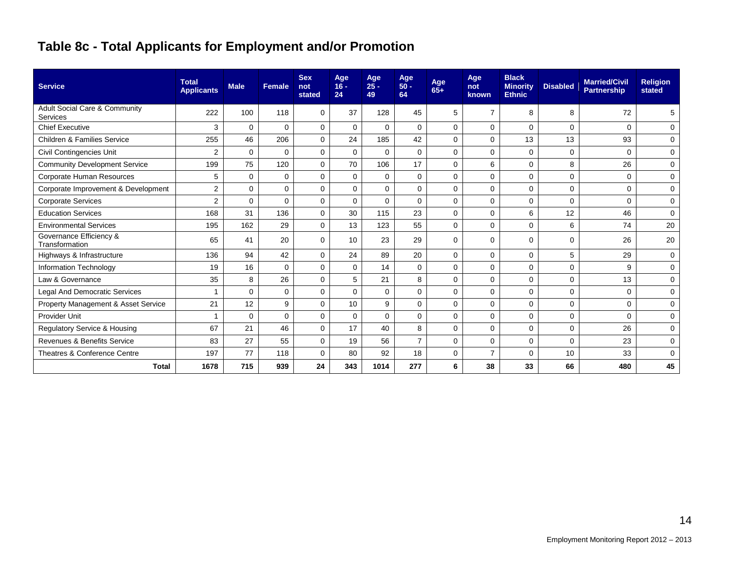## **Table 8c - Total Applicants for Employment and/or Promotion**

| <b>Service</b>                            | <b>Total</b><br><b>Applicants</b> | <b>Male</b> | <b>Female</b> | <b>Sex</b><br>not<br>stated | Age<br>$16 -$<br>24 | Age<br>$25 -$<br>49 | Age<br>$50 -$<br>64 | Age<br>$65+$ | Age<br>not<br>known | <b>Black</b><br><b>Minority</b><br><b>Ethnic</b> | <b>Disabled</b> | <b>Married/Civil</b><br><b>Partnership</b> | <b>Religion</b><br>stated |
|-------------------------------------------|-----------------------------------|-------------|---------------|-----------------------------|---------------------|---------------------|---------------------|--------------|---------------------|--------------------------------------------------|-----------------|--------------------------------------------|---------------------------|
| Adult Social Care & Community<br>Services | 222                               | 100         | 118           | 0                           | 37                  | 128                 | 45                  | 5            | $\overline{7}$      | 8                                                | 8               | 72                                         | 5                         |
| <b>Chief Executive</b>                    | 3                                 | $\Omega$    | $\Omega$      | $\Omega$                    | $\Omega$            | $\Omega$            | $\Omega$            | $\Omega$     | $\Omega$            | $\Omega$                                         | $\Omega$        | $\Omega$                                   | 0                         |
| <b>Children &amp; Families Service</b>    | 255                               | 46          | 206           | $\mathbf 0$                 | 24                  | 185                 | 42                  | $\Omega$     | $\Omega$            | 13                                               | 13              | 93                                         | 0                         |
| Civil Contingencies Unit                  | $\overline{2}$                    | 0           | $\Omega$      | $\mathbf 0$                 | $\Omega$            | $\Omega$            | 0                   | $\Omega$     | 0                   | $\mathbf 0$                                      | 0               | $\Omega$                                   | 0                         |
| <b>Community Development Service</b>      | 199                               | 75          | 120           | $\Omega$                    | 70                  | 106                 | 17                  | $\Omega$     | 6                   | $\Omega$                                         | 8               | 26                                         | 0                         |
| Corporate Human Resources                 | 5                                 | $\Omega$    | 0             | $\Omega$                    | $\Omega$            | $\mathbf 0$         | $\mathbf 0$         | $\Omega$     | $\Omega$            | $\Omega$                                         | 0               | $\Omega$                                   | 0                         |
| Corporate Improvement & Development       | $\overline{2}$                    | $\Omega$    | $\mathbf 0$   | $\Omega$                    | $\Omega$            | $\Omega$            | $\mathbf 0$         | $\Omega$     | $\Omega$            | $\mathbf 0$                                      | 0               | $\Omega$                                   | 0                         |
| <b>Corporate Services</b>                 | $\overline{2}$                    | $\Omega$    | $\mathbf 0$   | $\mathbf 0$                 | $\Omega$            | $\Omega$            | $\Omega$            | $\Omega$     | $\Omega$            | $\mathbf 0$                                      | 0               | $\Omega$                                   | $\mathbf 0$               |
| <b>Education Services</b>                 | 168                               | 31          | 136           | $\Omega$                    | 30                  | 115                 | 23                  | $\Omega$     | $\Omega$            | 6                                                | 12              | 46                                         | 0                         |
| <b>Environmental Services</b>             | 195                               | 162         | 29            | $\Omega$                    | 13                  | 123                 | 55                  | $\Omega$     | $\Omega$            | $\Omega$                                         | 6               | 74                                         | 20                        |
| Governance Efficiency &<br>Transformation | 65                                | 41          | 20            | $\Omega$                    | 10                  | 23                  | 29                  | $\Omega$     | $\Omega$            | $\mathbf 0$                                      | 0               | 26                                         | 20                        |
| Highways & Infrastructure                 | 136                               | 94          | 42            | $\Omega$                    | 24                  | 89                  | 20                  | $\Omega$     | $\mathbf 0$         | $\mathbf 0$                                      | 5               | 29                                         | 0                         |
| Information Technology                    | 19                                | 16          | $\Omega$      | $\Omega$                    | $\Omega$            | 14                  | $\Omega$            | $\Omega$     | $\Omega$            | $\mathbf 0$                                      | 0               | 9                                          | 0                         |
| Law & Governance                          | 35                                | 8           | 26            | $\Omega$                    | 5                   | 21                  | 8                   | $\Omega$     | $\Omega$            | $\mathbf 0$                                      | 0               | 13                                         | 0                         |
| Legal And Democratic Services             |                                   | $\Omega$    | $\mathbf 0$   | $\mathbf 0$                 | $\Omega$            | $\mathbf 0$         | $\mathbf 0$         | $\mathbf 0$  | $\mathbf 0$         | $\mathbf 0$                                      | 0               | $\Omega$                                   | $\mathbf 0$               |
| Property Management & Asset Service       | 21                                | 12          | 9             | $\Omega$                    | 10                  | 9                   | $\Omega$            | $\Omega$     | $\Omega$            | $\mathbf 0$                                      | 0               | $\Omega$                                   | 0                         |
| <b>Provider Unit</b>                      |                                   | $\Omega$    | $\Omega$      | $\Omega$                    | $\Omega$            | $\Omega$            | $\mathbf 0$         | $\Omega$     | $\Omega$            | $\mathbf 0$                                      | 0               | $\Omega$                                   | 0                         |
| Regulatory Service & Housing              | 67                                | 21          | 46            | $\Omega$                    | 17                  | 40                  | 8                   | $\Omega$     | $\Omega$            | $\mathbf 0$                                      | 0               | 26                                         | 0                         |
| <b>Revenues &amp; Benefits Service</b>    | 83                                | 27          | 55            | $\Omega$                    | 19                  | 56                  | $\overline{7}$      | $\Omega$     | $\mathbf 0$         | $\mathbf 0$                                      | 0               | 23                                         | $\mathbf 0$               |
| Theatres & Conference Centre              | 197                               | 77          | 118           | $\mathbf 0$                 | 80                  | 92                  | 18                  | $\Omega$     | $\overline{7}$      | $\mathbf 0$                                      | 10              | 33                                         | 0                         |
| <b>Total</b>                              | 1678                              | 715         | 939           | 24                          | 343                 | 1014                | 277                 | 6            | 38                  | 33                                               | 66              | 480                                        | 45                        |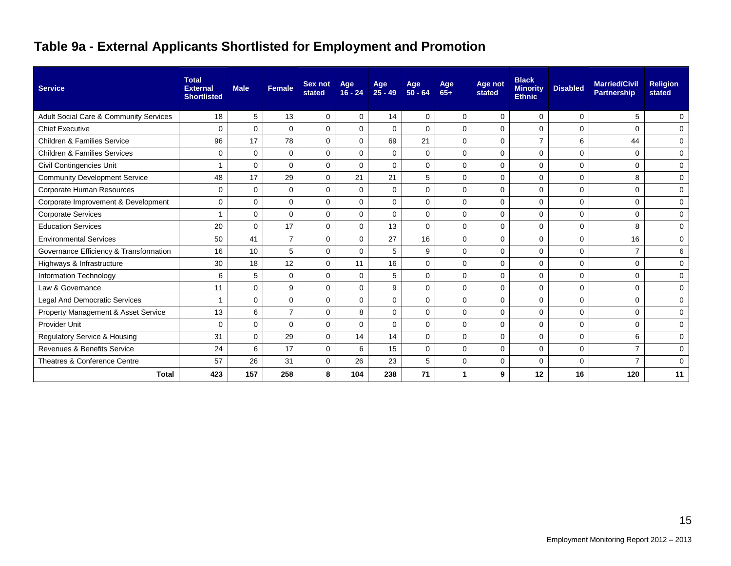### **Table 9a - External Applicants Shortlisted for Employment and Promotion**

| <b>Service</b>                          | <b>Total</b><br><b>External</b><br><b>Shortlisted</b> | <b>Male</b> | <b>Female</b>  | <b>Sex not</b><br>stated | Age<br>$16 - 24$ | Age<br>$25 - 49$ | Age<br>$50 - 64$ | Age<br>$65+$ | Age not<br>stated | <b>Black</b><br><b>Minority</b><br><b>Ethnic</b> | <b>Disabled</b> | <b>Married/Civil</b><br><b>Partnership</b> | <b>Religion</b><br>stated |
|-----------------------------------------|-------------------------------------------------------|-------------|----------------|--------------------------|------------------|------------------|------------------|--------------|-------------------|--------------------------------------------------|-----------------|--------------------------------------------|---------------------------|
| Adult Social Care & Community Services  | 18                                                    | 5           | 13             | $\mathbf 0$              | $\Omega$         | 14               | $\Omega$         | $\mathbf 0$  | $\mathbf 0$       | $\mathbf 0$                                      | $\mathbf 0$     | 5                                          | 0                         |
| <b>Chief Executive</b>                  | $\Omega$                                              | $\Omega$    | $\Omega$       | $\Omega$                 | $\Omega$         | $\Omega$         | $\Omega$         | $\Omega$     | $\Omega$          | $\Omega$                                         | $\Omega$        | $\Omega$                                   | $\Omega$                  |
| <b>Children &amp; Families Service</b>  | 96                                                    | 17          | 78             | 0                        | $\Omega$         | 69               | 21               | $\Omega$     | $\Omega$          | $\overline{7}$                                   | 6               | 44                                         | 0                         |
| <b>Children &amp; Families Services</b> | $\mathbf 0$                                           | $\Omega$    | $\mathbf 0$    | $\mathbf 0$              | $\Omega$         | $\mathbf 0$      | $\Omega$         | $\Omega$     | $\Omega$          | $\mathbf 0$                                      | $\mathbf 0$     | $\Omega$                                   | $\mathbf 0$               |
| Civil Contingencies Unit                |                                                       | $\Omega$    | $\Omega$       | $\Omega$                 | $\Omega$         | $\mathbf 0$      | $\Omega$         | $\Omega$     | $\Omega$          | $\mathbf 0$                                      | 0               | $\Omega$                                   | 0                         |
| <b>Community Development Service</b>    | 48                                                    | 17          | 29             | $\mathbf 0$              | 21               | 21               | 5                | $\mathbf 0$  | $\Omega$          | $\mathbf 0$                                      | 0               | 8                                          | $\mathbf 0$               |
| Corporate Human Resources               | 0                                                     | 0           | 0              | 0                        | $\Omega$         | $\mathbf 0$      | $\Omega$         | 0            | $\Omega$          | 0                                                | 0               | $\Omega$                                   | 0                         |
| Corporate Improvement & Development     | $\mathbf 0$                                           | 0           | $\Omega$       | $\Omega$                 | $\Omega$         | $\Omega$         | $\Omega$         | $\Omega$     | $\Omega$          | $\Omega$                                         | $\mathbf 0$     | $\Omega$                                   | $\mathbf 0$               |
| <b>Corporate Services</b>               |                                                       | $\Omega$    | $\Omega$       | 0                        | $\Omega$         | $\Omega$         | $\Omega$         | $\Omega$     | $\Omega$          | $\mathbf 0$                                      | $\mathbf 0$     | $\Omega$                                   | $\mathbf 0$               |
| <b>Education Services</b>               | 20                                                    | $\Omega$    | 17             | $\mathbf 0$              | $\Omega$         | 13               | $\Omega$         | $\Omega$     | $\Omega$          | $\mathbf 0$                                      | 0               | 8                                          | 0                         |
| <b>Environmental Services</b>           | 50                                                    | 41          | $\overline{7}$ | $\mathbf 0$              | $\mathbf 0$      | 27               | 16               | $\mathbf 0$  | $\mathbf 0$       | $\mathbf 0$                                      | $\mathbf 0$     | 16                                         | 0                         |
| Governance Efficiency & Transformation  | 16                                                    | 10          | 5              | $\Omega$                 | $\Omega$         | 5                | 9                | $\Omega$     | $\Omega$          | $\Omega$                                         | $\mathbf 0$     | $\overline{7}$                             | 6                         |
| Highways & Infrastructure               | 30                                                    | 18          | 12             | $\Omega$                 | 11               | 16               | $\Omega$         | $\Omega$     | $\Omega$          | $\Omega$                                         | $\mathbf 0$     | $\Omega$                                   | $\Omega$                  |
| Information Technology                  | 6                                                     | 5           | $\mathbf 0$    | $\Omega$                 | $\Omega$         | 5                | $\Omega$         | $\Omega$     | $\Omega$          | $\mathbf 0$                                      | $\mathbf 0$     | $\Omega$                                   | 0                         |
| Law & Governance                        | 11                                                    | 0           | 9              | 0                        | 0                | 9                | $\mathbf 0$      | 0            | 0                 | 0                                                | 0               | $\Omega$                                   | 0                         |
| <b>Legal And Democratic Services</b>    |                                                       | $\Omega$    | $\Omega$       | $\Omega$                 | $\Omega$         | $\Omega$         | $\Omega$         | $\Omega$     | $\Omega$          | $\mathbf 0$                                      | 0               | $\Omega$                                   | $\mathbf 0$               |
| Property Management & Asset Service     | 13                                                    | 6           | $\overline{7}$ | 0                        | 8                | 0                | 0                | $\mathbf 0$  | 0                 | $\mathbf 0$                                      | 0               | $\mathbf 0$                                | 0                         |
| Provider Unit                           | 0                                                     | $\Omega$    | $\Omega$       | $\Omega$                 | $\Omega$         | $\mathbf 0$      | $\Omega$         | $\Omega$     | $\Omega$          | $\mathbf 0$                                      | 0               | $\Omega$                                   | 0                         |
| Regulatory Service & Housing            | 31                                                    | $\Omega$    | 29             | $\Omega$                 | 14               | 14               | $\Omega$         | $\Omega$     | $\Omega$          | $\Omega$                                         | $\mathbf 0$     | 6                                          | $\Omega$                  |
| <b>Revenues &amp; Benefits Service</b>  | 24                                                    | 6           | 17             | $\Omega$                 | 6                | 15               | $\Omega$         | $\Omega$     | $\Omega$          | $\mathbf 0$                                      | $\mathbf 0$     | $\overline{7}$                             | $\mathbf 0$               |
| Theatres & Conference Centre            | 57                                                    | 26          | 31             | $\mathbf 0$              | 26               | 23               | 5                | $\Omega$     | 0                 | $\mathbf 0$                                      | 0               |                                            | $\mathbf 0$               |
| <b>Total</b>                            | 423                                                   | 157         | 258            | 8                        | 104              | 238              | 71               |              | 9                 | 12                                               | 16              | 120                                        | 11                        |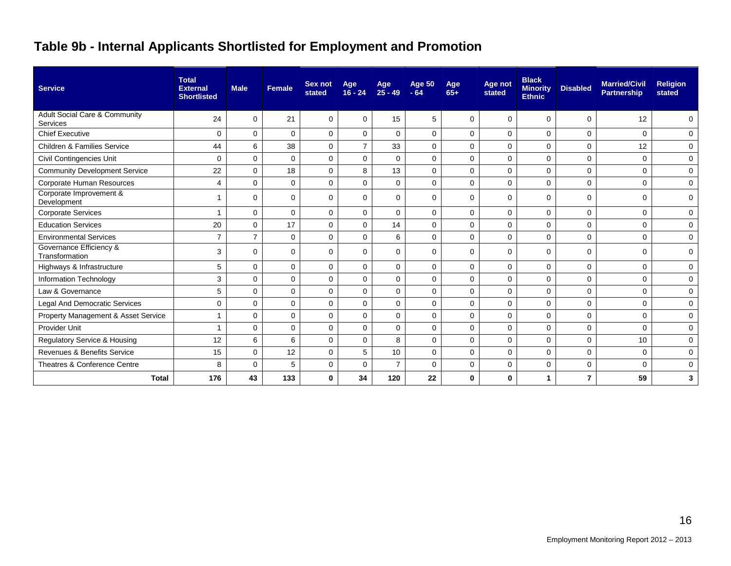### **Table 9b - Internal Applicants Shortlisted for Employment and Promotion**

| <b>Service</b>                            | <b>Total</b><br><b>External</b><br><b>Shortlisted</b> | <b>Male</b>    | Female       | Sex not<br>stated | Age<br>$16 - 24$ | Age<br>$25 - 49$ | <b>Age 50</b><br>$-64$ | Age<br>$65+$ | Age not<br>stated | <b>Black</b><br><b>Minority</b><br><b>Ethnic</b> | <b>Disabled</b> | <b>Married/Civil</b><br><b>Partnership</b> | <b>Religion</b><br>stated |
|-------------------------------------------|-------------------------------------------------------|----------------|--------------|-------------------|------------------|------------------|------------------------|--------------|-------------------|--------------------------------------------------|-----------------|--------------------------------------------|---------------------------|
| Adult Social Care & Community<br>Services | 24                                                    | 0              | 21           | $\Omega$          | $\Omega$         | 15               | 5                      | $\Omega$     | $\Omega$          | 0                                                | $\Omega$        | 12                                         | 0                         |
| <b>Chief Executive</b>                    | $\mathbf 0$                                           | $\Omega$       | $\mathbf{0}$ | 0                 | $\mathbf 0$      | $\Omega$         | $\Omega$               | $\Omega$     | $\mathbf 0$       | 0                                                | $\mathbf 0$     | $\Omega$                                   | 0                         |
| Children & Families Service               | 44                                                    | 6              | 38           | $\Omega$          | $\overline{7}$   | 33               | $\Omega$               | $\Omega$     | $\Omega$          | $\Omega$                                         | $\mathbf 0$     | 12                                         | 0                         |
| <b>Civil Contingencies Unit</b>           | $\Omega$                                              | $\Omega$       | $\mathbf{0}$ | $\overline{0}$    | $\Omega$         | $\Omega$         | $\Omega$               | $\Omega$     | $\Omega$          | 0                                                | $\mathbf 0$     | $\Omega$                                   | $\mathbf 0$               |
| <b>Community Development Service</b>      | 22                                                    | 0              | 18           | $\Omega$          | 8                | 13               | $\Omega$               | $\mathbf 0$  | $\mathbf 0$       | 0                                                | $\mathbf 0$     | $\Omega$                                   | 0                         |
| Corporate Human Resources                 | $\overline{4}$                                        | 0              | $\mathbf 0$  | $\mathbf 0$       | $\mathbf 0$      | $\mathbf 0$      | $\mathbf 0$            | $\mathbf 0$  | $\mathbf 0$       | 0                                                | 0               | $\mathbf 0$                                | 0                         |
| Corporate Improvement &<br>Development    |                                                       | $\Omega$       | $\Omega$     | $\Omega$          | $\Omega$         | $\Omega$         | $\Omega$               | $\Omega$     | $\Omega$          | 0                                                | $\mathbf 0$     | $\Omega$                                   | $\mathbf 0$               |
| <b>Corporate Services</b>                 |                                                       | 0              | $\mathbf{0}$ | 0                 | 0                | $\mathbf 0$      | $\mathbf 0$            | $\mathbf 0$  | $\mathbf 0$       | 0                                                | 0               | $\mathbf 0$                                | 0                         |
| <b>Education Services</b>                 | 20                                                    | $\Omega$       | 17           | $\Omega$          | $\Omega$         | 14               | $\Omega$               | $\Omega$     | $\Omega$          | 0                                                | $\mathbf 0$     | $\Omega$                                   | 0                         |
| <b>Environmental Services</b>             | $\overline{7}$                                        | $\overline{7}$ | $\mathbf{0}$ | $\Omega$          | $\mathbf 0$      | 6                | $\Omega$               | $\Omega$     | $\mathbf 0$       | 0                                                | $\mathbf 0$     | $\Omega$                                   | 0                         |
| Governance Efficiency &<br>Transformation | 3                                                     | 0              | $\Omega$     | 0                 | 0                | $\Omega$         | $\Omega$               | $\Omega$     | $\Omega$          | 0                                                | 0               | $\Omega$                                   | 0                         |
| Highways & Infrastructure                 | 5                                                     | $\Omega$       | $\mathbf{0}$ | $\Omega$          | $\mathbf 0$      | $\Omega$         | $\Omega$               | $\Omega$     | $\mathbf 0$       | 0                                                | $\mathbf 0$     | $\Omega$                                   | 0                         |
| Information Technology                    | 3                                                     | $\mathbf 0$    | $\mathbf 0$  | 0                 | $\mathbf 0$      | $\mathbf 0$      | $\mathbf 0$            | $\mathbf 0$  | 0                 | 0                                                | 0               | $\mathbf 0$                                | 0                         |
| Law & Governance                          | 5                                                     | 0              | $\mathbf{0}$ | $\Omega$          | $\mathbf 0$      | $\mathbf 0$      | $\mathbf 0$            | $\Omega$     | $\mathbf 0$       | 0                                                | 0               | $\mathbf 0$                                | 0                         |
| Legal And Democratic Services             | $\mathbf 0$                                           | 0              | $\mathbf 0$  | 0                 | $\mathbf 0$      | $\mathbf 0$      | $\mathbf 0$            | $\mathbf 0$  | $\mathbf 0$       | 0                                                | 0               | $\mathbf 0$                                | 0                         |
| Property Management & Asset Service       |                                                       | 0              | $\Omega$     | $\Omega$          | $\Omega$         | $\Omega$         | $\Omega$               | $\Omega$     | $\Omega$          | 0                                                | $\mathbf 0$     | $\Omega$                                   | 0                         |
| <b>Provider Unit</b>                      |                                                       | $\Omega$       | $\Omega$     | $\Omega$          | $\Omega$         | $\Omega$         | $\Omega$               | $\Omega$     | $\mathbf 0$       | 0                                                | $\mathbf 0$     | $\Omega$                                   | 0                         |
| Regulatory Service & Housing              | 12                                                    | 6              | 6            | 0                 | $\mathbf 0$      | 8                | $\mathbf 0$            | $\mathbf 0$  | $\mathbf 0$       | 0                                                | $\mathbf 0$     | 10                                         | 0                         |
| Revenues & Benefits Service               | 15                                                    | 0              | 12           | $\Omega$          | 5                | 10               | $\Omega$               | $\Omega$     | $\Omega$          | 0                                                | 0               | $\mathbf 0$                                | 0                         |
| Theatres & Conference Centre              | 8                                                     | 0              | 5            | 0                 | 0                | $\overline{7}$   | 0                      | $\mathbf 0$  | 0                 | 0                                                | 0               | $\Omega$                                   | 0                         |
| <b>Total</b>                              | 176                                                   | 43             | 133          | $\bf{0}$          | 34               | 120              | 22                     | $\bf{0}$     | 0                 |                                                  | $\overline{7}$  | 59                                         | 3                         |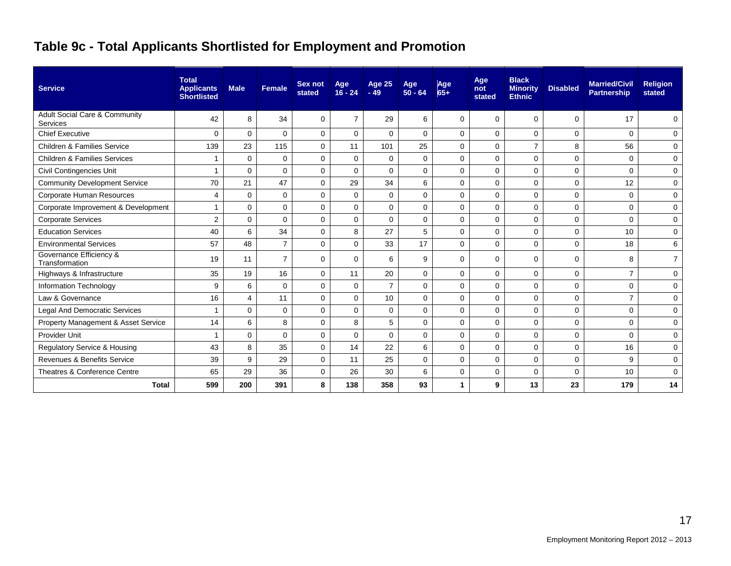### **Table 9c - Total Applicants Shortlisted for Employment and Promotion**

| <b>Service</b>                                       | <b>Total</b><br><b>Applicants</b><br><b>Shortlisted</b> | <b>Male</b> | <b>Female</b>  | Sex not<br>stated | Age<br>$16 - 24$ | Age 25<br>$-49$ | Age<br>$50 - 64$ | Age<br>$65+$ | Age<br>not<br>stated | <b>Black</b><br><b>Minority</b><br><b>Ethnic</b> | <b>Disabled</b> | <b>Married/Civil</b><br><b>Partnership</b> | <b>Religion</b><br>stated |
|------------------------------------------------------|---------------------------------------------------------|-------------|----------------|-------------------|------------------|-----------------|------------------|--------------|----------------------|--------------------------------------------------|-----------------|--------------------------------------------|---------------------------|
| <b>Adult Social Care &amp; Community</b><br>Services | 42                                                      | 8           | 34             | $\Omega$          | $\overline{7}$   | 29              | 6                | $\Omega$     | $\Omega$             | $\Omega$                                         | 0               | 17                                         | 0                         |
| <b>Chief Executive</b>                               | $\Omega$                                                | $\Omega$    | $\Omega$       | $\mathbf 0$       | $\mathbf 0$      | $\Omega$        | $\Omega$         | $\Omega$     | $\mathbf 0$          | 0                                                | 0               | $\Omega$                                   | 0                         |
| <b>Children &amp; Families Service</b>               | 139                                                     | 23          | 115            | $\mathbf 0$       | 11               | 101             | 25               | $\mathbf 0$  | $\mathbf 0$          | $\overline{7}$                                   | 8               | 56                                         | 0                         |
| <b>Children &amp; Families Services</b>              | 1                                                       | $\mathbf 0$ | 0              | $\mathbf 0$       | $\Omega$         | $\mathbf 0$     | $\mathbf 0$      | $\Omega$     | $\mathbf 0$          | $\mathbf 0$                                      | $\mathbf 0$     | $\Omega$                                   | $\mathbf 0$               |
| Civil Contingencies Unit                             | 1                                                       | $\Omega$    | $\Omega$       | $\Omega$          | $\Omega$         | $\Omega$        | 0                | $\Omega$     | $\Omega$             | $\mathbf 0$                                      | 0               | $\Omega$                                   | $\mathbf 0$               |
| <b>Community Development Service</b>                 | 70                                                      | 21          | 47             | $\mathbf 0$       | 29               | 34              | 6                | $\mathbf 0$  | $\mathbf 0$          | $\mathbf 0$                                      | 0               | 12                                         | 0                         |
| <b>Corporate Human Resources</b>                     | 4                                                       | $\Omega$    | 0              | $\Omega$          | $\Omega$         | $\mathbf 0$     | $\Omega$         | $\Omega$     | $\mathbf 0$          | $\mathbf 0$                                      | 0               | $\Omega$                                   | 0                         |
| Corporate Improvement & Development                  | 1                                                       | $\Omega$    | 0              | $\mathbf 0$       | $\mathbf 0$      | $\mathbf 0$     | 0                | $\mathbf 0$  | $\mathbf 0$          | $\mathbf 0$                                      | 0               | $\Omega$                                   | $\mathbf 0$               |
| <b>Corporate Services</b>                            | 2                                                       | $\Omega$    | $\Omega$       | $\Omega$          | $\Omega$         | $\Omega$        | $\mathbf 0$      | $\Omega$     | $\Omega$             | $\Omega$                                         | $\mathbf 0$     | $\Omega$                                   | $\mathbf 0$               |
| <b>Education Services</b>                            | 40                                                      | 6           | 34             | $\Omega$          | 8                | 27              | 5                | $\Omega$     | $\Omega$             | $\mathbf 0$                                      | 0               | 10                                         | $\mathbf 0$               |
| <b>Environmental Services</b>                        | 57                                                      | 48          | $\overline{7}$ | $\mathbf 0$       | $\Omega$         | 33              | 17               | $\Omega$     | $\mathbf 0$          | $\mathbf 0$                                      | 0               | 18                                         | 6                         |
| Governance Efficiency &<br>Transformation            | 19                                                      | 11          | $\overline{7}$ | $\Omega$          | $\Omega$         | 6               | 9                | $\Omega$     | $\Omega$             | $\Omega$                                         | 0               | 8                                          | $\overline{7}$            |
| Highways & Infrastructure                            | 35                                                      | 19          | 16             | $\Omega$          | 11               | 20              | $\Omega$         | $\Omega$     | 0                    | 0                                                | 0               | $\overline{7}$                             | 0                         |
| Information Technology                               | 9                                                       | 6           | 0              | $\mathbf 0$       | $\mathbf 0$      | $\overline{7}$  | $\mathbf 0$      | $\mathbf 0$  | $\mathbf 0$          | $\mathbf 0$                                      | $\mathbf 0$     | $\Omega$                                   | $\mathbf 0$               |
| Law & Governance                                     | 16                                                      | 4           | 11             | $\mathbf 0$       | $\Omega$         | 10              | 0                | $\Omega$     | $\Omega$             | $\mathbf 0$                                      | $\mathbf 0$     | $\overline{7}$                             | 0                         |
| <b>Legal And Democratic Services</b>                 | 1                                                       | $\Omega$    | 0              | $\Omega$          | $\Omega$         | $\mathbf 0$     | $\Omega$         | $\Omega$     | $\Omega$             | $\mathbf 0$                                      | 0               | $\Omega$                                   | 0                         |
| Property Management & Asset Service                  | 14                                                      | 6           | 8              | $\Omega$          | 8                | 5               | $\Omega$         | $\Omega$     | $\Omega$             | $\Omega$                                         | 0               | $\Omega$                                   | $\mathbf 0$               |
| Provider Unit                                        | 1                                                       | $\Omega$    | 0              | $\Omega$          | $\Omega$         | $\Omega$        | $\Omega$         | $\Omega$     | $\Omega$             | 0                                                | 0               | $\Omega$                                   | 0                         |
| <b>Regulatory Service &amp; Housing</b>              | 43                                                      | 8           | 35             | $\mathbf 0$       | 14               | 22              | 6                | $\mathbf 0$  | $\mathbf 0$          | $\mathbf 0$                                      | $\mathbf 0$     | 16                                         | 0                         |
| <b>Revenues &amp; Benefits Service</b>               | 39                                                      | 9           | 29             | $\mathbf 0$       | 11               | 25              | 0                | $\mathbf 0$  | $\mathbf 0$          | $\mathbf 0$                                      | $\mathbf 0$     | 9                                          | 0                         |
| Theatres & Conference Centre                         | 65                                                      | 29          | 36             | $\Omega$          | 26               | 30              | 6                | $\Omega$     | $\Omega$             | $\Omega$                                         | 0               | 10                                         | 0                         |
| <b>Total</b>                                         | 599                                                     | 200         | 391            | 8                 | 138              | 358             | 93               | 1            | 9                    | 13                                               | 23              | 179                                        | 14                        |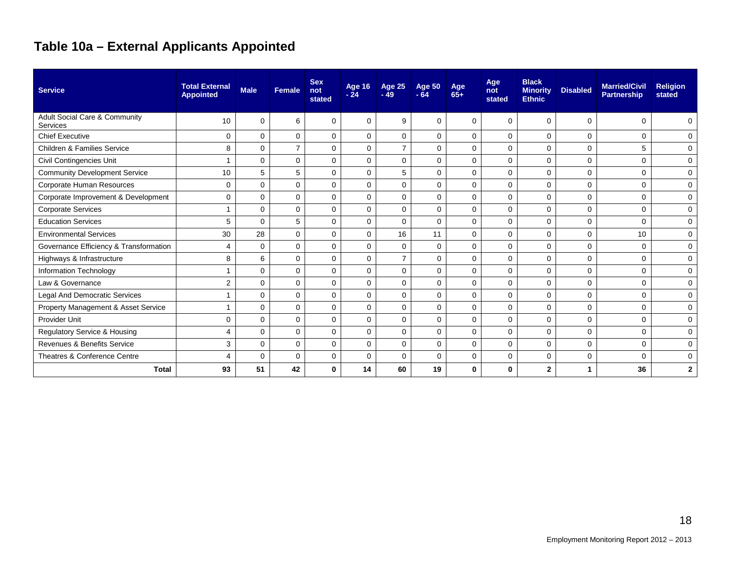## **Table 10a – External Applicants Appointed**

| <b>Service</b>                            | <b>Total External</b><br><b>Appointed</b> | <b>Male</b> | Female         | <b>Sex</b><br>not<br>stated | <b>Age 16</b><br>$-24$ | <b>Age 25</b><br>$-49$ | <b>Age 50</b><br>$-64$ | Age<br>$65+$ | Age<br>not<br>stated | <b>Black</b><br><b>Minority</b><br><b>Ethnic</b> | <b>Disabled</b> | <b>Married/Civil</b><br><b>Partnership</b> | <b>Religion</b><br>stated |
|-------------------------------------------|-------------------------------------------|-------------|----------------|-----------------------------|------------------------|------------------------|------------------------|--------------|----------------------|--------------------------------------------------|-----------------|--------------------------------------------|---------------------------|
| Adult Social Care & Community<br>Services | 10                                        | $\Omega$    | 6              | $\Omega$                    | $\Omega$               | 9                      | $\Omega$               | $\Omega$     | $\Omega$             | 0                                                | $\mathbf 0$     | $\Omega$                                   | 0                         |
| <b>Chief Executive</b>                    | 0                                         | $\mathbf 0$ | 0              | $\mathbf 0$                 | $\mathbf 0$            | $\mathbf 0$            | 0                      | 0            | 0                    | 0                                                | 0               | $\Omega$                                   | 0                         |
| <b>Children &amp; Families Service</b>    | 8                                         | $\mathbf 0$ | $\overline{7}$ | 0                           | $\mathbf 0$            | $\overline{7}$         | $\mathbf 0$            | $\mathbf 0$  | $\mathbf 0$          | 0                                                | $\mathbf 0$     | 5                                          | $\mathbf 0$               |
| Civil Contingencies Unit                  |                                           | $\mathbf 0$ | $\Omega$       | 0                           | $\mathbf 0$            | $\mathbf 0$            | $\mathbf 0$            | 0            | 0                    | 0                                                | $\mathbf 0$     | $\Omega$                                   | $\mathbf 0$               |
| <b>Community Development Service</b>      | 10                                        | 5           | 5              | 0                           | $\mathbf 0$            | 5                      | $\Omega$               | $\Omega$     | $\mathbf 0$          | 0                                                | $\mathbf 0$     | $\Omega$                                   | 0                         |
| Corporate Human Resources                 | 0                                         | $\mathbf 0$ | 0              | 0                           | $\mathbf 0$            | $\mathbf 0$            | $\mathbf 0$            | $\mathbf 0$  | $\mathbf 0$          | 0                                                | $\mathbf 0$     | $\Omega$                                   | $\mathbf 0$               |
| Corporate Improvement & Development       | 0                                         | $\mathbf 0$ | 0              | 0                           | $\mathbf 0$            | $\mathbf 0$            | $\mathbf 0$            | $\mathbf 0$  | $\mathbf 0$          | 0                                                | $\mathbf 0$     | $\Omega$                                   | 0                         |
| <b>Corporate Services</b>                 |                                           | $\mathbf 0$ | 0              | 0                           | $\mathbf 0$            | $\mathbf 0$            | $\mathbf 0$            | $\mathbf 0$  | $\mathbf 0$          | 0                                                | 0               | $\mathbf 0$                                | 0                         |
| <b>Education Services</b>                 | 5                                         | $\Omega$    | 5              | 0                           | $\mathbf 0$            | $\Omega$               | $\mathbf 0$            | $\Omega$     | $\mathbf 0$          | 0                                                | $\mathbf 0$     | $\Omega$                                   | $\mathbf 0$               |
| <b>Environmental Services</b>             | 30                                        | 28          | 0              | 0                           | $\mathbf 0$            | 16                     | 11                     | $\mathbf 0$  | $\mathbf 0$          | 0                                                | $\mathbf 0$     | 10                                         | 0                         |
| Governance Efficiency & Transformation    | 4                                         | $\mathbf 0$ | $\Omega$       | 0                           | $\mathbf 0$            | $\mathbf 0$            | $\mathbf 0$            | $\Omega$     | $\mathbf 0$          | 0                                                | $\mathbf 0$     | $\Omega$                                   | 0                         |
| Highways & Infrastructure                 | 8                                         | 6           | $\Omega$       | 0                           | $\mathbf 0$            | $\overline{7}$         | $\mathbf 0$            | $\mathbf 0$  | $\mathbf 0$          | 0                                                | $\mathbf 0$     | $\mathbf 0$                                | 0                         |
| Information Technology                    |                                           | $\mathbf 0$ | $\Omega$       | 0                           | $\mathbf 0$            | $\mathbf 0$            | $\mathbf 0$            | $\Omega$     | $\mathbf 0$          | 0                                                | 0               | $\mathbf 0$                                | 0                         |
| Law & Governance                          | 2                                         | $\Omega$    | $\Omega$       | 0                           | $\mathbf 0$            | $\mathbf 0$            | $\mathbf 0$            | $\Omega$     | $\mathbf 0$          | 0                                                | $\mathbf 0$     | $\mathbf 0$                                | $\mathbf 0$               |
| Legal And Democratic Services             |                                           | $\Omega$    | $\Omega$       | $\Omega$                    | $\Omega$               | $\Omega$               | $\Omega$               | $\Omega$     | $\mathbf 0$          | 0                                                | $\mathbf 0$     | $\Omega$                                   | 0                         |
| Property Management & Asset Service       |                                           | $\Omega$    | $\Omega$       | $\Omega$                    | $\Omega$               | $\Omega$               | $\Omega$               | $\Omega$     | $\mathbf 0$          | 0                                                | 0               | $\Omega$                                   | 0                         |
| <b>Provider Unit</b>                      | 0                                         | $\mathbf 0$ | $\Omega$       | $\Omega$                    | $\Omega$               | $\Omega$               | $\Omega$               | $\Omega$     | $\Omega$             | 0                                                | $\mathbf 0$     | $\Omega$                                   | $\mathbf 0$               |
| Regulatory Service & Housing              | 4                                         | $\Omega$    | $\Omega$       | $\Omega$                    | $\Omega$               | $\Omega$               | $\Omega$               | $\Omega$     | $\Omega$             | $\Omega$                                         | $\mathbf 0$     | $\Omega$                                   | $\Omega$                  |
| Revenues & Benefits Service               | 3                                         | $\Omega$    | $\Omega$       | $\Omega$                    | $\Omega$               | $\Omega$               | $\Omega$               | $\Omega$     | $\Omega$             | 0                                                | $\mathbf 0$     | $\Omega$                                   | $\mathbf 0$               |
| Theatres & Conference Centre              | 4                                         | $\mathbf 0$ | $\Omega$       | 0                           | $\mathbf 0$            | $\mathbf 0$            | $\mathbf 0$            | $\mathbf 0$  | $\mathbf 0$          | 0                                                | $\mathbf 0$     | $\Omega$                                   | $\mathbf 0$               |
| <b>Total</b>                              | 93                                        | 51          | 42             | $\bf{0}$                    | 14                     | 60                     | 19                     | 0            | $\bf{0}$             | $\overline{2}$                                   | -1              | 36                                         | $\mathbf{2}$              |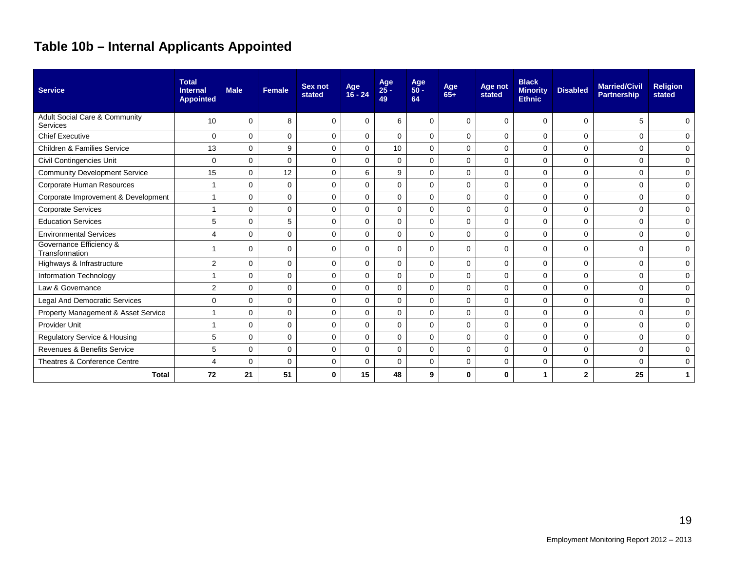## **Table 10b – Internal Applicants Appointed**

| <b>Service</b>                                       | <b>Total</b><br><b>Internal</b><br><b>Appointed</b> | <b>Male</b> | <b>Female</b> | Sex not<br>stated | Age<br>$16 - 24$ | Age<br>25 -<br>49 | Age<br>50 -<br>64 | Age<br>$65+$ | Age not<br>stated | <b>Black</b><br><b>Minority</b><br><b>Ethnic</b> | <b>Disabled</b> | <b>Married/Civil</b><br><b>Partnership</b> | <b>Religion</b><br>stated |
|------------------------------------------------------|-----------------------------------------------------|-------------|---------------|-------------------|------------------|-------------------|-------------------|--------------|-------------------|--------------------------------------------------|-----------------|--------------------------------------------|---------------------------|
| <b>Adult Social Care &amp; Community</b><br>Services | 10                                                  | $\mathbf 0$ | 8             | $\Omega$          | $\Omega$         | 6                 | 0                 | $\Omega$     | $\Omega$          | $\Omega$                                         | $\Omega$        | 5                                          | 0                         |
| <b>Chief Executive</b>                               | $\mathbf 0$                                         | 0           | $\mathbf 0$   | $\mathbf 0$       | $\Omega$         | $\mathbf 0$       | $\mathbf 0$       | $\Omega$     | $\mathbf 0$       | $\mathbf 0$                                      | $\mathbf 0$     | $\Omega$                                   | 0                         |
| <b>Children &amp; Families Service</b>               | 13                                                  | 0           | 9             | $\mathbf 0$       | $\Omega$         | 10                | $\Omega$          | $\Omega$     | $\Omega$          | $\Omega$                                         | $\mathbf 0$     | $\Omega$                                   | $\Omega$                  |
| Civil Contingencies Unit                             | $\mathbf 0$                                         | 0           | $\mathbf 0$   | $\mathbf 0$       | $\mathbf 0$      | $\mathbf 0$       | 0                 | $\Omega$     | 0                 | $\mathbf 0$                                      | $\mathbf 0$     | 0                                          | $\mathbf 0$               |
| <b>Community Development Service</b>                 | 15                                                  | 0           | 12            | $\mathbf 0$       | 6                | 9                 | $\Omega$          | $\Omega$     | $\Omega$          | $\Omega$                                         | $\mathbf 0$     | $\Omega$                                   | $\Omega$                  |
| Corporate Human Resources                            | $\overline{1}$                                      | 0           | $\mathbf 0$   | $\Omega$          | $\Omega$         | $\Omega$          | $\Omega$          | $\Omega$     | $\mathbf 0$       | $\mathbf 0$                                      | 0               | $\mathbf 0$                                | $\mathbf 0$               |
| Corporate Improvement & Development                  | $\mathbf 1$                                         | 0           | $\Omega$      | $\Omega$          | $\Omega$         | $\Omega$          | $\Omega$          | $\Omega$     | $\mathbf 0$       | $\Omega$                                         | 0               | 0                                          | $\Omega$                  |
| <b>Corporate Services</b>                            | $\overline{1}$                                      | $\Omega$    | $\Omega$      | $\Omega$          | $\Omega$         | $\Omega$          | $\Omega$          | $\Omega$     | $\Omega$          | $\Omega$                                         | $\Omega$        | $\Omega$                                   | $\Omega$                  |
| <b>Education Services</b>                            | 5                                                   | $\mathbf 0$ | 5             | $\mathbf 0$       | $\mathbf 0$      | $\mathbf 0$       | $\mathbf 0$       | $\Omega$     | $\mathbf 0$       | $\mathbf 0$                                      | $\mathbf 0$     | 0                                          | $\Omega$                  |
| <b>Environmental Services</b>                        | $\overline{4}$                                      | $\mathbf 0$ | $\mathbf 0$   | $\Omega$          | $\Omega$         | $\Omega$          | $\Omega$          | $\Omega$     | $\Omega$          | $\mathbf 0$                                      | $\mathbf 0$     | 0                                          | $\mathbf 0$               |
| Governance Efficiency &<br>Transformation            |                                                     | $\mathbf 0$ | $\Omega$      | $\Omega$          | $\Omega$         | $\Omega$          | 0                 | $\Omega$     | $\Omega$          | $\Omega$                                         | $\mathbf 0$     | $\Omega$                                   | $\Omega$                  |
| Highways & Infrastructure                            | $\overline{2}$                                      | $\Omega$    | $\Omega$      | $\Omega$          | $\Omega$         | $\Omega$          | $\Omega$          | $\Omega$     | $\Omega$          | $\Omega$                                         | $\Omega$        | $\Omega$                                   | $\Omega$                  |
| Information Technology                               |                                                     | 0           | $\Omega$      | $\Omega$          | $\Omega$         | $\Omega$          | $\Omega$          | $\Omega$     | $\Omega$          | $\mathbf 0$                                      | $\mathbf 0$     | 0                                          | 0                         |
| Law & Governance                                     | $\overline{2}$                                      | 0           | $\mathbf 0$   | $\mathbf 0$       | $\mathbf 0$      | $\mathbf 0$       | $\mathbf 0$       | $\Omega$     | $\mathbf 0$       | $\mathbf 0$                                      | $\mathbf 0$     | 0                                          | $\Omega$                  |
| Legal And Democratic Services                        | 0                                                   | 0           | $\mathbf 0$   | $\mathbf 0$       | $\Omega$         | $\mathbf 0$       | $\mathbf 0$       | $\Omega$     | $\mathbf 0$       | $\mathbf 0$                                      | 0               | $\mathbf 0$                                | 0                         |
| Property Management & Asset Service                  | $\overline{ }$                                      | 0           | 0             | $\mathbf 0$       | $\mathbf 0$      | 0                 | $\mathbf 0$       | $\mathbf 0$  | $\mathbf 0$       | 0                                                | 0               | 0                                          | $\mathbf 0$               |
| <b>Provider Unit</b>                                 | $\overline{1}$                                      | $\mathbf 0$ | 0             | $\Omega$          | $\Omega$         | $\mathbf 0$       | $\mathbf 0$       | $\Omega$     | $\Omega$          | $\mathbf 0$                                      | $\mathbf 0$     | $\Omega$                                   | 0                         |
| Regulatory Service & Housing                         | 5                                                   | 0           | $\Omega$      | $\Omega$          | $\Omega$         | $\Omega$          | $\Omega$          | $\Omega$     | $\Omega$          | $\Omega$                                         | $\mathbf 0$     | $\Omega$                                   | $\mathbf 0$               |
| Revenues & Benefits Service                          | 5                                                   | 0           | $\mathbf 0$   | $\mathbf 0$       | $\mathbf 0$      | $\mathbf 0$       | $\mathbf 0$       | $\mathbf 0$  | $\mathbf 0$       | $\mathbf 0$                                      | $\mathbf 0$     | 0                                          | $\mathbf 0$               |
| Theatres & Conference Centre                         | $\overline{4}$                                      | 0           | $\Omega$      | $\mathbf 0$       | $\Omega$         | $\Omega$          | $\mathbf 0$       | $\Omega$     | $\mathbf 0$       | $\mathbf 0$                                      | 0               | $\Omega$                                   | $\mathbf 0$               |
| <b>Total</b>                                         | 72                                                  | 21          | 51            | $\bf{0}$          | 15               | 48                | 9                 | $\bf{0}$     | 0                 | 1                                                | $\overline{2}$  | 25                                         |                           |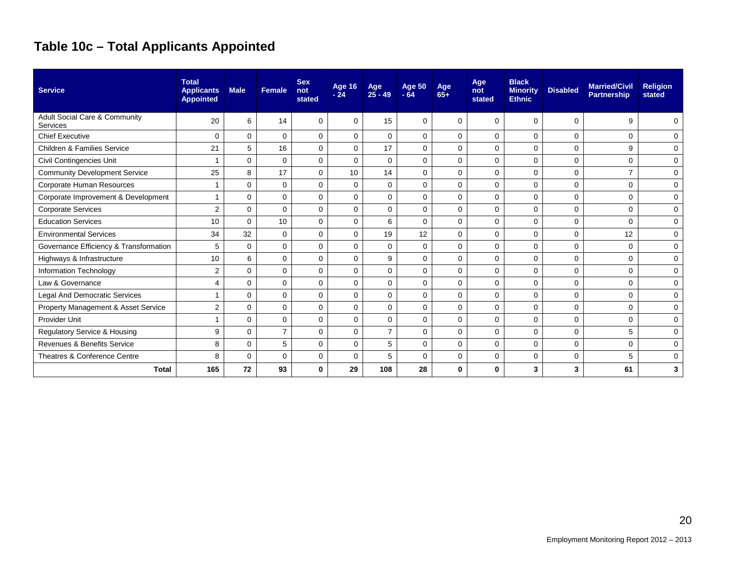## **Table 10c – Total Applicants Appointed**

| <b>Service</b>                            | <b>Total</b><br><b>Applicants</b><br><b>Appointed</b> | <b>Male</b> | Female         | <b>Sex</b><br>not<br>stated | <b>Age 16</b><br>$-24$ | Age<br>$25 - 49$ | <b>Age 50</b><br>$-64$ | Age<br>$65+$ | Age<br>not<br>stated | <b>Black</b><br><b>Minority</b><br><b>Ethnic</b> | <b>Disabled</b> | <b>Married/Civil</b><br><b>Partnership</b> | <b>Religion</b><br>stated |
|-------------------------------------------|-------------------------------------------------------|-------------|----------------|-----------------------------|------------------------|------------------|------------------------|--------------|----------------------|--------------------------------------------------|-----------------|--------------------------------------------|---------------------------|
| Adult Social Care & Community<br>Services | 20                                                    | 6           | 14             | $\Omega$                    | $\Omega$               | 15               | 0                      | 0            | 0                    | $\Omega$                                         | 0               | 9                                          | $\mathbf 0$               |
| <b>Chief Executive</b>                    | $\mathbf 0$                                           | $\mathbf 0$ | $\Omega$       | $\Omega$                    | $\mathbf 0$            | $\Omega$         | 0                      | $\Omega$     | 0                    | $\Omega$                                         | 0               | $\Omega$                                   | 0                         |
| <b>Children &amp; Families Service</b>    | 21                                                    | 5           | 16             | $\mathbf 0$                 | $\mathbf 0$            | 17               | $\mathbf 0$            | $\mathbf 0$  | 0                    | $\mathbf 0$                                      | $\mathbf 0$     | 9                                          | 0                         |
| Civil Contingencies Unit                  | -1                                                    | $\mathbf 0$ | $\mathbf 0$    | $\mathbf 0$                 | $\Omega$               | $\Omega$         | $\mathbf 0$            | $\Omega$     | $\mathbf 0$          | $\mathbf 0$                                      | 0               | $\Omega$                                   | 0                         |
| <b>Community Development Service</b>      | 25                                                    | 8           | 17             | $\mathbf 0$                 | 10                     | 14               | $\mathbf 0$            | $\mathbf 0$  | 0                    | $\mathbf 0$                                      | 0               | $\overline{7}$                             | 0                         |
| Corporate Human Resources                 | $\overline{ }$                                        | $\mathbf 0$ | $\mathbf 0$    | $\mathbf 0$                 | $\mathbf 0$            | 0                | $\mathbf 0$            | $\mathbf 0$  | $\mathbf 0$          | $\mathbf 0$                                      | $\mathbf 0$     | $\Omega$                                   | 0                         |
| Corporate Improvement & Development       |                                                       | 0           | $\mathbf 0$    | $\mathbf 0$                 | $\mathbf 0$            | 0                | $\mathbf 0$            | $\Omega$     | $\Omega$             | $\mathbf 0$                                      | 0               | $\Omega$                                   | 0                         |
| <b>Corporate Services</b>                 | $\overline{2}$                                        | 0           | $\mathbf 0$    | $\mathbf 0$                 | $\mathbf 0$            | 0                | 0                      | $\Omega$     | $\mathbf 0$          | $\mathbf 0$                                      | 0               | $\mathbf 0$                                | 0                         |
| <b>Education Services</b>                 | 10                                                    | $\Omega$    | 10             | $\mathbf 0$                 | $\mathbf 0$            | 6                | $\Omega$               | $\Omega$     | $\mathbf 0$          | $\mathbf 0$                                      | 0               | $\Omega$                                   | 0                         |
| <b>Environmental Services</b>             | 34                                                    | 32          | $\mathbf 0$    | $\mathbf 0$                 | $\mathbf 0$            | 19               | 12                     | $\Omega$     | $\mathbf 0$          | $\mathbf 0$                                      | 0               | 12                                         | 0                         |
| Governance Efficiency & Transformation    | 5                                                     | $\Omega$    | $\mathbf 0$    | $\mathbf 0$                 | $\mathbf 0$            | 0                | $\mathbf 0$            | $\Omega$     | $\mathbf 0$          | $\mathbf 0$                                      | 0               | $\Omega$                                   | 0                         |
| Highways & Infrastructure                 | 10                                                    | 6           | 0              | $\mathbf 0$                 | $\mathbf 0$            | 9                | $\mathbf 0$            | $\mathbf 0$  | $\mathbf 0$          | $\mathbf 0$                                      | $\mathbf 0$     | 0                                          | 0                         |
| Information Technology                    | $\overline{2}$                                        | $\Omega$    | 0              | 0                           | 0                      | 0                | 0                      | $\Omega$     | 0                    | $\mathbf 0$                                      | 0               | $\Omega$                                   | 0                         |
| Law & Governance                          | $\overline{4}$                                        | $\mathbf 0$ | $\mathbf 0$    | $\mathbf 0$                 | $\mathbf 0$            | 0                | $\mathbf 0$            | $\mathbf 0$  | $\mathbf 0$          | $\mathbf 0$                                      | $\mathbf 0$     | $\Omega$                                   | 0                         |
| Legal And Democratic Services             |                                                       | $\Omega$    | $\Omega$       | $\Omega$                    | $\Omega$               | 0                | $\Omega$               | $\Omega$     | $\Omega$             | $\Omega$                                         | 0               | $\Omega$                                   | 0                         |
| Property Management & Asset Service       | $\overline{2}$                                        | $\Omega$    | $\Omega$       | $\Omega$                    | $\mathbf 0$            | 0                | $\Omega$               | $\Omega$     | $\Omega$             | $\Omega$                                         | 0               | $\Omega$                                   | $\mathbf 0$               |
| Provider Unit                             |                                                       | $\Omega$    | $\Omega$       | $\Omega$                    | $\Omega$               | $\Omega$         | $\Omega$               | $\Omega$     | $\Omega$             | $\Omega$                                         | $\mathbf 0$     | $\Omega$                                   | 0                         |
| <b>Regulatory Service &amp; Housing</b>   | 9                                                     | $\Omega$    | $\overline{7}$ | $\Omega$                    | $\Omega$               | $\overline{7}$   | $\Omega$               | $\Omega$     | $\Omega$             | $\Omega$                                         | $\mathbf 0$     | 5                                          | $\mathbf 0$               |
| Revenues & Benefits Service               | 8                                                     | $\Omega$    | 5              | $\Omega$                    | $\Omega$               | 5                | $\Omega$               | $\Omega$     | $\Omega$             | $\Omega$                                         | 0               | $\Omega$                                   | 0                         |
| Theatres & Conference Centre              | 8                                                     | $\Omega$    | $\Omega$       | $\mathbf 0$                 | $\mathbf 0$            | 5                | $\Omega$               | $\mathbf 0$  | $\mathbf 0$          | $\mathbf 0$                                      | 0               | 5                                          | $\mathbf 0$               |
| <b>Total</b>                              | 165                                                   | 72          | 93             | 0                           | 29                     | 108              | 28                     | 0            | 0                    | 3                                                | 3               | 61                                         | 3                         |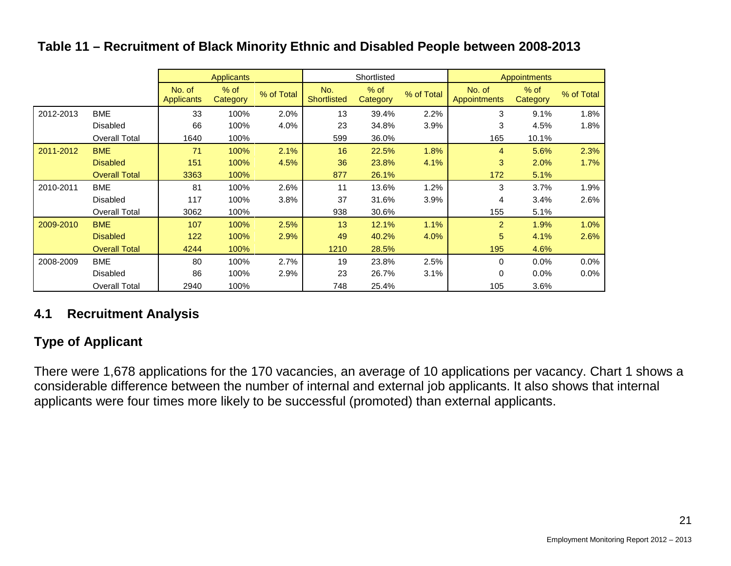#### Applicants **Shortlisted** Applicants Appointments No. of **Applicants** % of % of work Total No.<br>Category % of Total Shortlis **Shortlisted** % of % of work Total No. of Category % of Total Appointme **Appointments** % of Category % of Total 2012-2013 BME 33 100% 2.0% 13 39.4% 2.2% 3 9.1% 1.8% Disabled 66 100% 4.0% 23 34.8% 3.9% 3 4.5% 1.8% Overall Total 1640 100% 599 36.0% 165 10.1% 2011-2012 BME 71 100% 2.1% 16 22.5% 1.8% 4 5.6% 2.3% Disabled 151 100% 4.5% 36 23.8% 4.1% 3 2.0% 1.7% Overall Total 3363 100% 877 26.1% 172 5.1% 2010-2011 BME | 81 100% 2.6% | 11 13.6% 1.2% | 3 3.7% 1.9% Disabled 117 100% 3.8% 37 31.6% 3.9% 4 3.4% 2.6% Overall Total 3062 100% 938 30.6% 155 5.1% 2009-2010 BME | 107 100% 2.5% | 13 12.1% 1.1% | 2 1.9% 1.0% Disabled 122 100% 2.9% 49 40.2% 4.0% 5 4.1% 2.6% Overall Total 4244 100% 1210 28.5% 195 4.6% 2008-2009 BME | 80 100% 2.7% | 19 23.8% 2.5% | 0 0.0% 0.0% Disabled 86 100% 2.9% 23 26.7% 3.1% 0 0.0% 0.0% Overall Total 2940 100% 748 25.4% 105 3.6%

#### **Table 11 – Recruitment of Black Minority Ethnic and Disabled People between 2008-2013**

### **4.1 Recruitment Analysis**

### **Type of Applicant**

There were 1,678 applications for the 170 vacancies, an average of 10 applications per vacancy. Chart 1 shows a considerable difference between the number of internal and external job applicants. It also shows that internal applicants were four times more likely to be successful (promoted) than external applicants.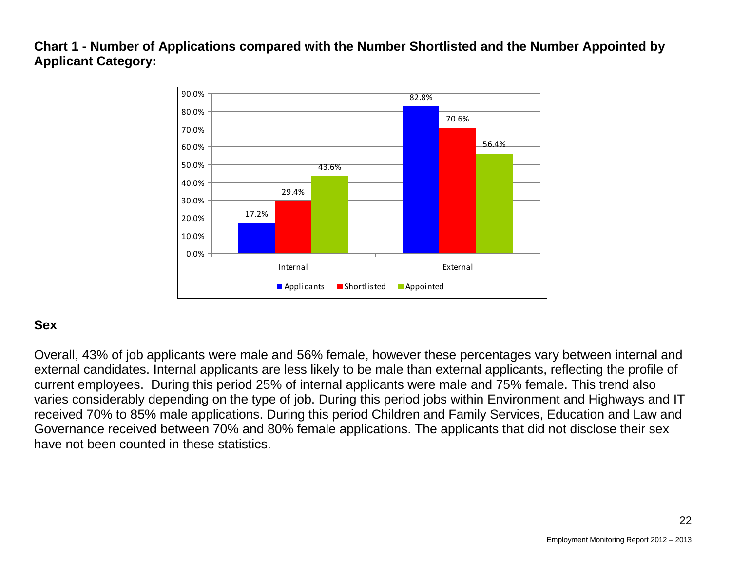**Chart 1 - Number of Applications compared with the Number Shortlisted and the Number Appointed by Applicant Category:** 



#### **Sex**

Overall, 43% of job applicants were male and 56% female, however these percentages vary between internal and external candidates. Internal applicants are less likely to be male than external applicants, reflecting the profile of current employees. During this period 25% of internal applicants were male and 75% female. This trend also varies considerably depending on the type of job. During this period jobs within Environment and Highways and IT received 70% to 85% male applications. During this period Children and Family Services, Education and Law and Governance received between 70% and 80% female applications. The applicants that did not disclose their sex have not been counted in these statistics.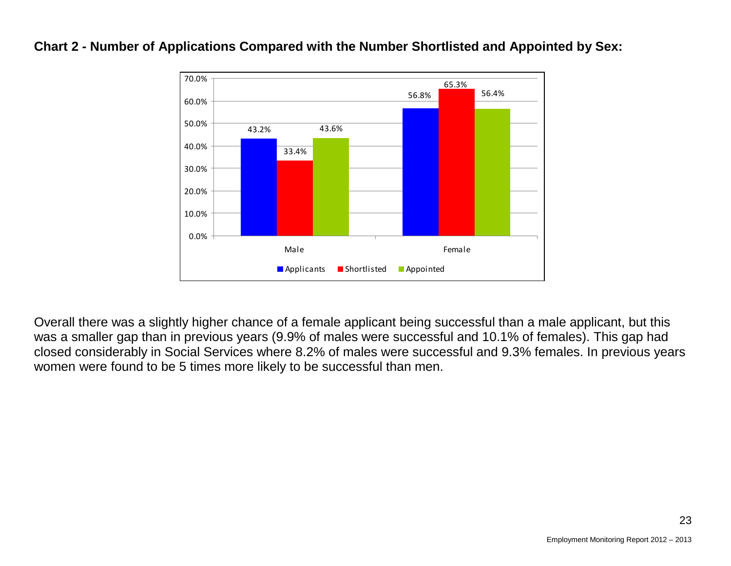

#### **Chart 2 - Number of Applications Compared with the Number Shortlisted and Appointed by Sex:**

Overall there was a slightly higher chance of a female applicant being successful than a male applicant, but this was a smaller gap than in previous years (9.9% of males were successful and 10.1% of females). This gap had closed considerably in Social Services where 8.2% of males were successful and 9.3% females. In previous years women were found to be 5 times more likely to be successful than men.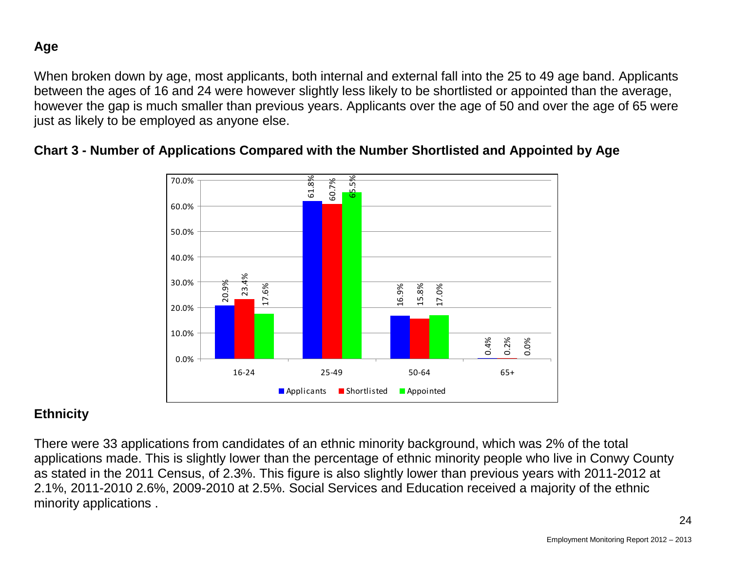**Age**

When broken down by age, most applicants, both internal and external fall into the 25 to 49 age band. Applicants between the ages of 16 and 24 were however slightly less likely to be shortlisted or appointed than the average, however the gap is much smaller than previous years. Applicants over the age of 50 and over the age of 65 were just as likely to be employed as anyone else.



#### **Chart 3 - Number of Applications Compared with the Number Shortlisted and Appointed by Age**

### **Ethnicity**

There were 33 applications from candidates of an ethnic minority background, which was 2% of the total applications made. This is slightly lower than the percentage of ethnic minority people who live in Conwy County as stated in the 2011 Census, of 2.3%. This figure is also slightly lower than previous years with 2011-2012 at 2.1%, 2011-2010 2.6%, 2009-2010 at 2.5%. Social Services and Education received a majority of the ethnic minority applications .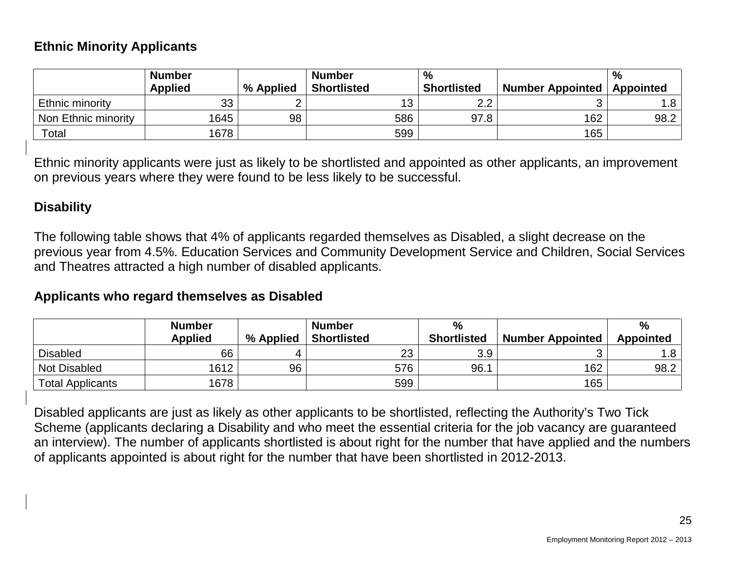#### **Ethnic Minority Applicants**

|                     | <b>Number</b><br><b>Applied</b> | % Applied | <b>Number</b><br><b>Shortlisted</b> | %<br><b>Shortlisted</b> | <b>Number Appointed</b> | $\%$<br><b>Appointed</b> |
|---------------------|---------------------------------|-----------|-------------------------------------|-------------------------|-------------------------|--------------------------|
| Ethnic minority     | 33                              |           |                                     | 2.2                     |                         | 1.8                      |
| Non Ethnic minority | 1645                            | 98        | 586                                 | 97.8                    | 162                     | 98.2                     |
| Total               | 1678                            |           | 599                                 |                         | 165                     |                          |

Ethnic minority applicants were just as likely to be shortlisted and appointed as other applicants, an improvement on previous years where they were found to be less likely to be successful.

#### **Disability**

The following table shows that 4% of applicants regarded themselves as Disabled, a slight decrease on the previous year from 4.5%. Education Services and Community Development Service and Children, Social Services and Theatres attracted a high number of disabled applicants.

#### **Applicants who regard themselves as Disabled**

|                         | <b>Number</b><br><b>Applied</b> | % Applied | <b>Number</b><br><b>Shortlisted</b> | $\frac{0}{0}$<br><b>Shortlisted</b> | Number Appointed | %<br><b>Appointed</b> |
|-------------------------|---------------------------------|-----------|-------------------------------------|-------------------------------------|------------------|-----------------------|
| <b>Disabled</b>         | 66                              | 4         | 23                                  | 3.9                                 |                  | 1.8                   |
| <b>Not Disabled</b>     | 1612                            | 96        | 576                                 | 96.1                                | 162              | 98.2                  |
| <b>Total Applicants</b> | 1678                            |           | 599                                 |                                     | 165              |                       |

Disabled applicants are just as likely as other applicants to be shortlisted, reflecting the Authority's Two Tick Scheme (applicants declaring a Disability and who meet the essential criteria for the job vacancy are guaranteed an interview). The number of applicants shortlisted is about right for the number that have applied and the numbers of applicants appointed is about right for the number that have been shortlisted in 2012-2013.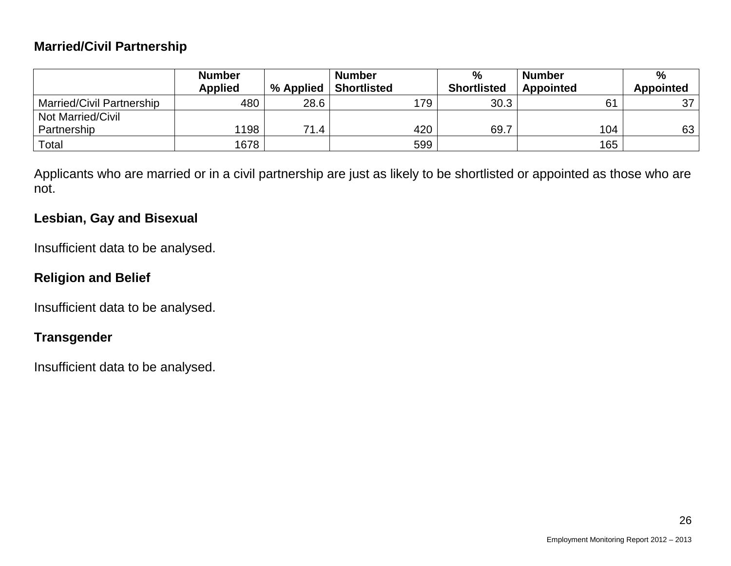#### **Married/Civil Partnership**

|                                  | <b>Number</b>  |           | <b>Number</b>      | $\frac{0}{0}$      | <b>Number</b>    | %                |
|----------------------------------|----------------|-----------|--------------------|--------------------|------------------|------------------|
|                                  | <b>Applied</b> | % Applied | <b>Shortlisted</b> | <b>Shortlisted</b> | <b>Appointed</b> | <b>Appointed</b> |
| <b>Married/Civil Partnership</b> | 480            | 28.6      | 179                | 30.3               | 61               | 37               |
| <b>Not Married/Civil</b>         |                |           |                    |                    |                  |                  |
| Partnership                      | 1198           | 71.4      | 420                | 69.7               | 104              | 63               |
| Total                            | 1678           |           | 599                |                    | 165              |                  |

Applicants who are married or in a civil partnership are just as likely to be shortlisted or appointed as those who are not.

#### **Lesbian, Gay and Bisexual**

Insufficient data to be analysed.

### **Religion and Belief**

Insufficient data to be analysed.

#### **Transgender**

Insufficient data to be analysed.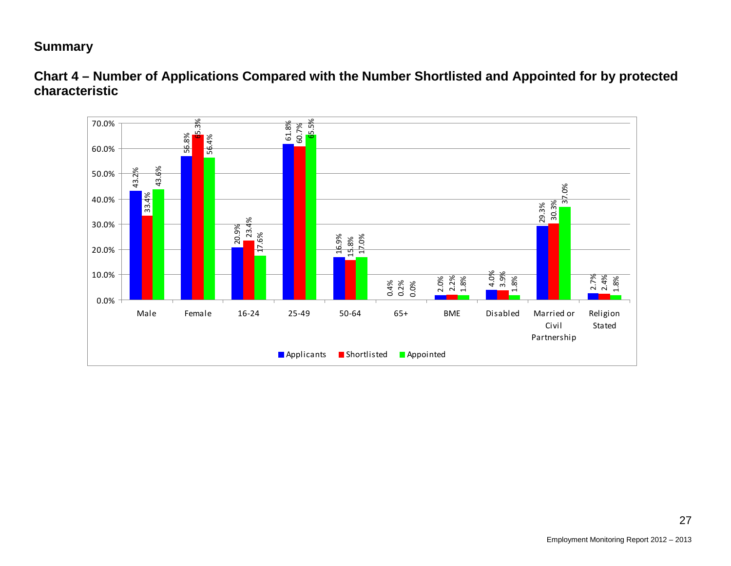#### **Summary**



**Chart 4 – Number of Applications Compared with the Number Shortlisted and Appointed for by protected characteristic**

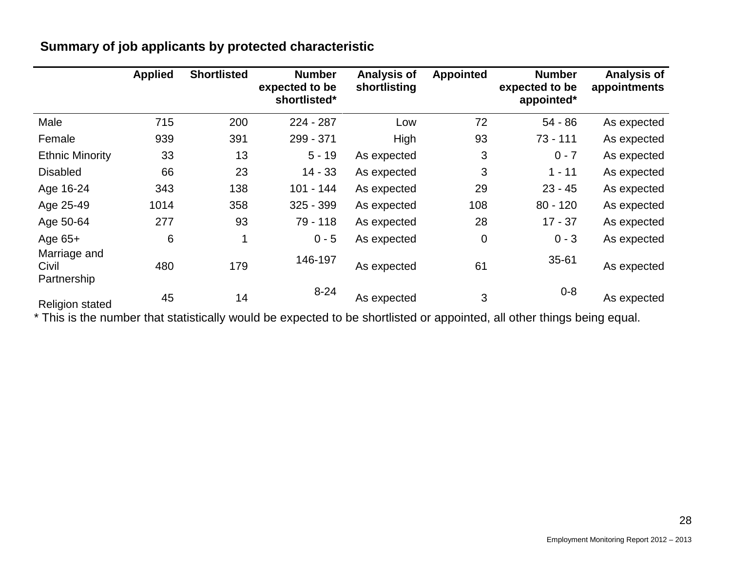|                                      | <b>Applied</b> | <b>Shortlisted</b> | <b>Number</b><br>expected to be<br>shortlisted* | <b>Analysis of</b><br>shortlisting | <b>Appointed</b> | <b>Number</b><br>expected to be<br>appointed* | <b>Analysis of</b><br>appointments |
|--------------------------------------|----------------|--------------------|-------------------------------------------------|------------------------------------|------------------|-----------------------------------------------|------------------------------------|
| Male                                 | 715            | 200                | 224 - 287                                       | Low                                | 72               | 54 - 86                                       | As expected                        |
| Female                               | 939            | 391                | 299 - 371                                       | High                               | 93               | $73 - 111$                                    | As expected                        |
| <b>Ethnic Minority</b>               | 33             | 13                 | $5 - 19$                                        | As expected                        | 3                | $0 - 7$                                       | As expected                        |
| <b>Disabled</b>                      | 66             | 23                 | $14 - 33$                                       | As expected                        | 3                | $1 - 11$                                      | As expected                        |
| Age 16-24                            | 343            | 138                | 101 - 144                                       | As expected                        | 29               | $23 - 45$                                     | As expected                        |
| Age 25-49                            | 1014           | 358                | $325 - 399$                                     | As expected                        | 108              | $80 - 120$                                    | As expected                        |
| Age 50-64                            | 277            | 93                 | 79 - 118                                        | As expected                        | 28               | $17 - 37$                                     | As expected                        |
| Age 65+                              | 6              | 1                  | $0 - 5$                                         | As expected                        | 0                | $0 - 3$                                       | As expected                        |
| Marriage and<br>Civil<br>Partnership | 480            | 179                | 146-197                                         | As expected                        | 61               | $35 - 61$                                     | As expected                        |
| <b>Religion stated</b>               | 45             | 14                 | $8 - 24$                                        | As expected                        | 3                | $0 - 8$                                       | As expected                        |

### **Summary of job applicants by protected characteristic**

\* This is the number that statistically would be expected to be shortlisted or appointed, all other things being equal.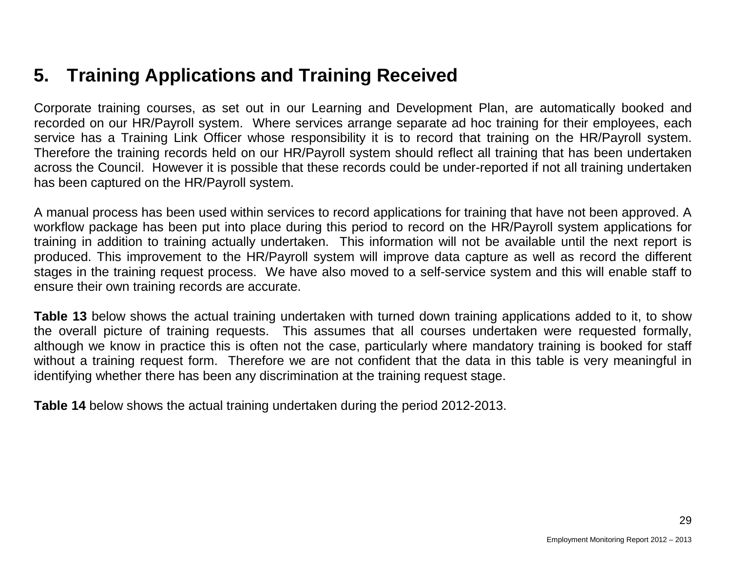## **5. Training Applications and Training Received**

Corporate training courses, as set out in our Learning and Development Plan, are automatically booked and recorded on our HR/Payroll system. Where services arrange separate ad hoc training for their employees, each service has a Training Link Officer whose responsibility it is to record that training on the HR/Payroll system. Therefore the training records held on our HR/Payroll system should reflect all training that has been undertaken across the Council. However it is possible that these records could be under-reported if not all training undertaken has been captured on the HR/Payroll system.

A manual process has been used within services to record applications for training that have not been approved. A workflow package has been put into place during this period to record on the HR/Payroll system applications for training in addition to training actually undertaken. This information will not be available until the next report is produced. This improvement to the HR/Payroll system will improve data capture as well as record the different stages in the training request process. We have also moved to a self-service system and this will enable staff to ensure their own training records are accurate.

**Table 13** below shows the actual training undertaken with turned down training applications added to it, to show the overall picture of training requests. This assumes that all courses undertaken were requested formally, although we know in practice this is often not the case, particularly where mandatory training is booked for staff without a training request form. Therefore we are not confident that the data in this table is very meaningful in identifying whether there has been any discrimination at the training request stage.

**Table 14** below shows the actual training undertaken during the period 2012-2013.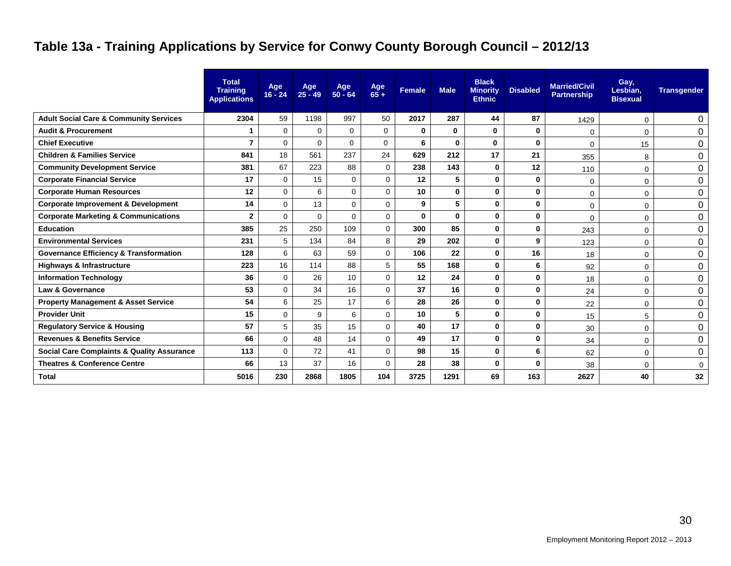## **Table 13a - Training Applications by Service for Conwy County Borough Council – 2012/13**

|                                                       | <b>Total</b><br><b>Training</b><br><b>Applications</b> | Age<br>$16 - 24$ | Age<br>$25 - 49$ | Age<br>50 - 64 | Age<br>$65+$ | <b>Female</b> | <b>Male</b>  | <b>Black</b><br><b>Minority</b><br><b>Ethnic</b> | <b>Disabled</b> | <b>Married/Civil</b><br><b>Partnership</b> | Gay,<br>Lesbian,<br><b>Bisexual</b> | <b>Transgender</b> |
|-------------------------------------------------------|--------------------------------------------------------|------------------|------------------|----------------|--------------|---------------|--------------|--------------------------------------------------|-----------------|--------------------------------------------|-------------------------------------|--------------------|
| <b>Adult Social Care &amp; Community Services</b>     | 2304                                                   | 59               | 1198             | 997            | 50           | 2017          | 287          | 44                                               | 87              | 1429                                       | 0                                   | 0                  |
| <b>Audit &amp; Procurement</b>                        | 1                                                      | $\mathbf 0$      | $\Omega$         | $\Omega$       | $\mathbf{0}$ | 0             | $\mathbf{0}$ | $\mathbf{0}$                                     | $\bf{0}$        | $\Omega$                                   | 0                                   | $\mathbf 0$        |
| <b>Chief Executive</b>                                | $\overline{7}$                                         | $\Omega$         | $\Omega$         | $\Omega$       | $\Omega$     | 6             | $\mathbf{0}$ | $\mathbf{0}$                                     | $\mathbf{0}$    | $\Omega$                                   | 15                                  | $\pmb{0}$          |
| <b>Children &amp; Families Service</b>                | 841                                                    | 18               | 561              | 237            | 24           | 629           | 212          | 17                                               | 21              | 355                                        | 8                                   | 0                  |
| <b>Community Development Service</b>                  | 381                                                    | 67               | 223              | 88             | 0            | 238           | 143          | $\mathbf{0}$                                     | 12              | 110                                        | 0                                   | 0                  |
| <b>Corporate Financial Service</b>                    | 17                                                     | 0                | 15               | 0              | 0            | 12            | 5            | $\mathbf 0$                                      | $\mathbf 0$     | 0                                          | 0                                   | 0                  |
| <b>Corporate Human Resources</b>                      | 12                                                     | $\Omega$         | 6                | $\Omega$       | 0            | 10            | 0            | $\mathbf{0}$                                     | $\mathbf{0}$    | $\mathbf 0$                                | 0                                   | 0                  |
| <b>Corporate Improvement &amp; Development</b>        | 14                                                     | $\Omega$         | 13               | $\Omega$       | 0            | 9             | 5            | $\mathbf 0$                                      | $\mathbf{0}$    | 0                                          | 0                                   | 0                  |
| <b>Corporate Marketing &amp; Communications</b>       | $\mathbf{2}$                                           | $\Omega$         | $\Omega$         | $\Omega$       | $\Omega$     | $\bf{0}$      | 0            | $\mathbf{0}$                                     | $\mathbf{0}$    | 0                                          | 0                                   | 0                  |
| <b>Education</b>                                      | 385                                                    | 25               | 250              | 109            | 0            | 300           | 85           | $\mathbf 0$                                      | $\mathbf 0$     | 243                                        | 0                                   | 0                  |
| <b>Environmental Services</b>                         | 231                                                    | 5                | 134              | 84             | 8            | 29            | 202          | $\mathbf{0}$                                     | 9               | 123                                        | 0                                   | $\mathbf 0$        |
| <b>Governance Efficiency &amp; Transformation</b>     | 128                                                    | 6                | 63               | 59             | $\Omega$     | 106           | 22           | $\mathbf{0}$                                     | 16              | 18                                         | 0                                   | $\pmb{0}$          |
| <b>Highways &amp; Infrastructure</b>                  | 223                                                    | 16               | 114              | 88             | 5            | 55            | 168          | $\mathbf 0$                                      | 6               | 92                                         | 0                                   | 0                  |
| <b>Information Technology</b>                         | 36                                                     | $\Omega$         | 26               | 10             | $\Omega$     | 12            | 24           | $\mathbf{0}$                                     | $\mathbf 0$     | 18                                         | 0                                   | 0                  |
| <b>Law &amp; Governance</b>                           | 53                                                     | 0                | 34               | 16             | 0            | 37            | 16           | $\mathbf 0$                                      | $\mathbf 0$     | 24                                         | 0                                   | 0                  |
| <b>Property Management &amp; Asset Service</b>        | 54                                                     | 6                | 25               | 17             | 6            | 28            | 26           | $\mathbf{0}$                                     | 0               | 22                                         | 0                                   | 0                  |
| <b>Provider Unit</b>                                  | 15                                                     | $\mathbf 0$      | 9                | 6              | 0            | 10            | 5            | $\mathbf 0$                                      | $\mathbf 0$     | 15                                         | 5                                   | 0                  |
| <b>Regulatory Service &amp; Housing</b>               | 57                                                     | 5                | 35               | 15             | 0            | 40            | 17           | $\mathbf 0$                                      | $\mathbf 0$     | 30                                         | 0                                   | 0                  |
| <b>Revenues &amp; Benefits Service</b>                | 66                                                     | $\overline{0}$   | 48               | 14             | 0            | 49            | 17           | $\mathbf 0$                                      | $\mathbf 0$     | 34                                         | 0                                   | 0                  |
| <b>Social Care Complaints &amp; Quality Assurance</b> | 113                                                    | $\mathbf 0$      | 72               | 41             | 0            | 98            | 15           | $\mathbf 0$                                      | 6               | 62                                         | 0                                   | 0                  |
| <b>Theatres &amp; Conference Centre</b>               | 66                                                     | 13               | 37               | 16             | $\Omega$     | 28            | 38           | $\mathbf{0}$                                     | $\bf{0}$        | 38                                         | 0                                   | 0                  |
| <b>Total</b>                                          | 5016                                                   | 230              | 2868             | 1805           | 104          | 3725          | 1291         | 69                                               | 163             | 2627                                       | 40                                  | 32                 |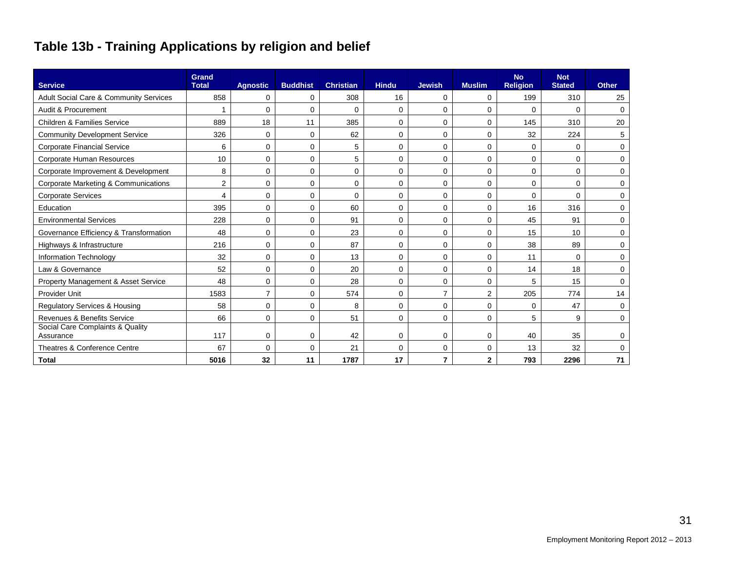## **Table 13b - Training Applications by religion and belief**

| <b>Service</b>                                | <b>Grand</b><br><b>Total</b> | <b>Agnostic</b> | <b>Buddhist</b> | <b>Christian</b> | <b>Hindu</b> | <b>Jewish</b> | <b>Muslim</b>  | <b>No</b><br><b>Religion</b> | <b>Not</b><br><b>Stated</b> | <b>Other</b> |
|-----------------------------------------------|------------------------------|-----------------|-----------------|------------------|--------------|---------------|----------------|------------------------------|-----------------------------|--------------|
| Adult Social Care & Community Services        | 858                          | 0               | 0               | 308              | 16           | 0             | 0              | 199                          | 310                         | 25           |
| Audit & Procurement                           |                              | $\Omega$        | $\Omega$        | 0                | 0            | 0             | $\Omega$       | $\Omega$                     | $\Omega$                    | $\mathbf 0$  |
| <b>Children &amp; Families Service</b>        | 889                          | 18              | 11              | 385              | 0            | $\Omega$      | $\Omega$       | 145                          | 310                         | 20           |
| <b>Community Development Service</b>          | 326                          | $\mathbf 0$     | $\Omega$        | 62               | 0            | 0             | $\Omega$       | 32                           | 224                         | 5            |
| <b>Corporate Financial Service</b>            | 6                            | $\Omega$        | $\Omega$        | 5                | 0            | 0             | $\Omega$       | $\Omega$                     | $\Omega$                    | 0            |
| Corporate Human Resources                     | 10                           | $\Omega$        | 0               | 5                | 0            | $\Omega$      | $\Omega$       | $\Omega$                     | $\mathbf 0$                 | $\Omega$     |
| Corporate Improvement & Development           | 8                            | 0               | $\mathbf 0$     | 0                | 0            | 0             | $\mathbf 0$    | 0                            | $\mathbf 0$                 | 0            |
| Corporate Marketing & Communications          | 2                            | 0               | 0               | 0                | 0            | 0             | 0              | 0                            | 0                           | 0            |
| <b>Corporate Services</b>                     | $\overline{4}$               | 0               | $\mathbf 0$     | $\mathbf 0$      | 0            | 0             | $\mathbf 0$    | 0                            | $\Omega$                    | $\mathbf 0$  |
| Education                                     | 395                          | 0               | $\Omega$        | 60               | 0            | 0             | 0              | 16                           | 316                         | 0            |
| <b>Environmental Services</b>                 | 228                          | 0               | $\Omega$        | 91               | 0            | 0             | $\Omega$       | 45                           | 91                          | 0            |
| Governance Efficiency & Transformation        | 48                           | 0               | $\mathbf 0$     | 23               | 0            | $\Omega$      | $\Omega$       | 15                           | 10                          | $\Omega$     |
| Highways & Infrastructure                     | 216                          | 0               | 0               | 87               | 0            | 0             | $\Omega$       | 38                           | 89                          | 0            |
| Information Technology                        | 32                           | 0               | $\Omega$        | 13               | 0            | 0             | $\Omega$       | 11                           | $\Omega$                    | 0            |
| Law & Governance                              | 52                           | $\Omega$        | $\Omega$        | 20               | 0            | 0             | $\Omega$       | 14                           | 18                          | $\Omega$     |
| Property Management & Asset Service           | 48                           | 0               | $\Omega$        | 28               | 0            | 0             | $\Omega$       | 5                            | 15                          | 0            |
| Provider Unit                                 | 1583                         | $\overline{7}$  | $\Omega$        | 574              | 0            | 7             | $\overline{2}$ | 205                          | 774                         | 14           |
| <b>Regulatory Services &amp; Housing</b>      | 58                           | $\Omega$        | $\Omega$        | 8                | $\Omega$     | $\Omega$      | $\Omega$       | $\Omega$                     | 47                          | 0            |
| Revenues & Benefits Service                   | 66                           | 0               | $\mathbf 0$     | 51               | 0            | 0             | 0              | 5                            | 9                           | 0            |
| Social Care Complaints & Quality<br>Assurance | 117                          | $\mathbf 0$     | $\mathbf 0$     | 42               | 0            | 0             | 0              | 40                           | 35                          | 0            |
| Theatres & Conference Centre                  | 67                           | 0               | 0               | 21               | 0            | 0             | 0              | 13                           | 32                          | $\Omega$     |
| <b>Total</b>                                  | 5016                         | 32              | 11              | 1787             | 17           | 7             | $\mathbf{2}$   | 793                          | 2296                        | 71           |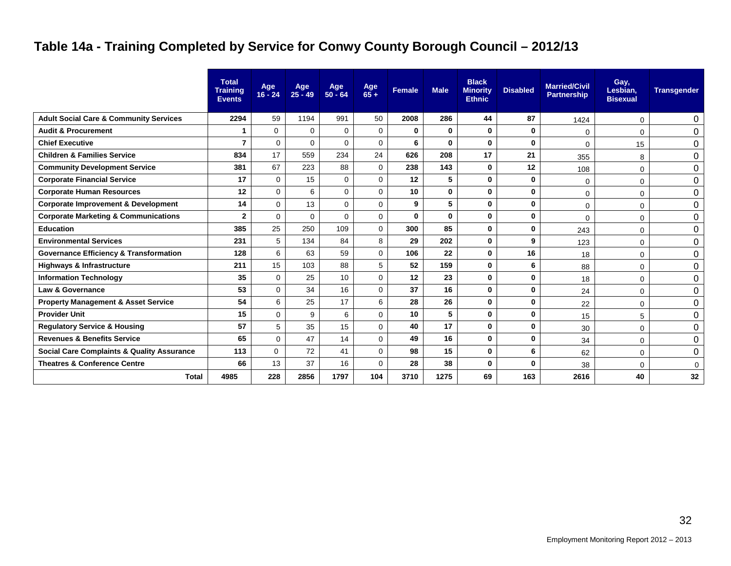## **Table 14a - Training Completed by Service for Conwy County Borough Council – 2012/13**

|                                                       | <b>Total</b><br><b>Training</b><br><b>Events</b> | Age<br>$16 - 24$ | Age<br>25 - 49 | Age<br>50 - 64 | Age<br>$65+$ | <b>Female</b> | <b>Male</b> | <b>Black</b><br><b>Minority</b><br><b>Ethnic</b> | <b>Disabled</b> | <b>Married/Civil</b><br><b>Partnership</b> | Gay,<br>Lesbian,<br><b>Bisexual</b> | <b>Transgender</b> |
|-------------------------------------------------------|--------------------------------------------------|------------------|----------------|----------------|--------------|---------------|-------------|--------------------------------------------------|-----------------|--------------------------------------------|-------------------------------------|--------------------|
| <b>Adult Social Care &amp; Community Services</b>     | 2294                                             | 59               | 1194           | 991            | 50           | 2008          | 286         | 44                                               | 87              | 1424                                       | 0                                   | 0                  |
| <b>Audit &amp; Procurement</b>                        |                                                  | 0                | 0              | $\mathbf 0$    | $\mathbf 0$  | $\mathbf 0$   | 0           | 0                                                | 0               | $\Omega$                                   | 0                                   | $\mathbf 0$        |
| <b>Chief Executive</b>                                | 7                                                | $\Omega$         | $\Omega$       | $\Omega$       | $\Omega$     | 6             | $\bf{0}$    | $\bf{0}$                                         | $\bf{0}$        | $\mathbf 0$                                | 15                                  | $\boldsymbol{0}$   |
| <b>Children &amp; Families Service</b>                | 834                                              | 17               | 559            | 234            | 24           | 626           | 208         | 17                                               | 21              | 355                                        | 8                                   | $\Omega$           |
| <b>Community Development Service</b>                  | 381                                              | 67               | 223            | 88             | $\mathbf 0$  | 238           | 143         | 0                                                | 12              | 108                                        | $\Omega$                            | 0                  |
| <b>Corporate Financial Service</b>                    | 17                                               | $\mathbf 0$      | 15             | $\Omega$       | $\mathbf 0$  | 12            | 5           | 0                                                | 0               | $\mathbf 0$                                | 0                                   | 0                  |
| <b>Corporate Human Resources</b>                      | 12                                               | $\Omega$         | 6              | $\Omega$       | $\Omega$     | 10            | $\bf{0}$    | $\bf{0}$                                         | $\bf{0}$        | 0                                          | 0                                   | 0                  |
| <b>Corporate Improvement &amp; Development</b>        | 14                                               | $\mathbf 0$      | 13             | $\Omega$       | $\Omega$     | 9             | 5           | 0                                                | $\bf{0}$        | $\mathbf 0$                                | 0                                   | $\mathbf 0$        |
| <b>Corporate Marketing &amp; Communications</b>       | $\overline{2}$                                   | $\Omega$         | $\Omega$       | $\Omega$       | $\Omega$     | $\bf{0}$      | $\mathbf 0$ | $\bf{0}$                                         | 0               | $\Omega$                                   | 0                                   | 0                  |
| <b>Education</b>                                      | 385                                              | 25               | 250            | 109            | $\mathbf 0$  | 300           | 85          | $\bf{0}$                                         | 0               | 243                                        | 0                                   | $\mathbf 0$        |
| <b>Environmental Services</b>                         | 231                                              | 5                | 134            | 84             | 8            | 29            | 202         | $\bf{0}$                                         | 9               | 123                                        | 0                                   | 0                  |
| <b>Governance Efficiency &amp; Transformation</b>     | 128                                              | 6                | 63             | 59             | $\Omega$     | 106           | 22          | $\bf{0}$                                         | 16              | 18                                         | 0                                   | $\mathbf 0$        |
| <b>Highways &amp; Infrastructure</b>                  | 211                                              | 15               | 103            | 88             | 5            | 52            | 159         | 0                                                | 6               | 88                                         | 0                                   | $\Omega$           |
| <b>Information Technology</b>                         | 35                                               | $\Omega$         | 25             | 10             | $\Omega$     | 12            | 23          | $\bf{0}$                                         | $\bf{0}$        | 18                                         | 0                                   | $\Omega$           |
| <b>Law &amp; Governance</b>                           | 53                                               | $\mathbf 0$      | 34             | 16             | $\mathbf 0$  | 37            | 16          | 0                                                | 0               | 24                                         | 0                                   | $\Omega$           |
| <b>Property Management &amp; Asset Service</b>        | 54                                               | 6                | 25             | 17             | 6            | 28            | 26          | $\bf{0}$                                         | 0               | 22                                         | 0                                   | $\mathbf 0$        |
| <b>Provider Unit</b>                                  | 15                                               | $\mathbf 0$      | 9              | 6              | $\Omega$     | 10            | 5           | $\bf{0}$                                         | 0               | 15                                         | 5                                   | $\mathbf 0$        |
| <b>Regulatory Service &amp; Housing</b>               | 57                                               | 5                | 35             | 15             | $\mathbf 0$  | 40            | 17          | 0                                                | 0               | 30                                         | 0                                   | $\Omega$           |
| <b>Revenues &amp; Benefits Service</b>                | 65                                               | $\Omega$         | 47             | 14             | $\mathbf 0$  | 49            | 16          | $\bf{0}$                                         | 0               | 34                                         | $\Omega$                            | $\mathbf 0$        |
| <b>Social Care Complaints &amp; Quality Assurance</b> | 113                                              | $\mathbf 0$      | 72             | 41             | $\mathbf 0$  | 98            | 15          | 0                                                | 6               | 62                                         | 0                                   | $\Omega$           |
| <b>Theatres &amp; Conference Centre</b>               | 66                                               | 13               | 37             | 16             | $\Omega$     | 28            | 38          | $\bf{0}$                                         | $\bf{0}$        | 38                                         | 0                                   | $\mathbf 0$        |
| <b>Total</b>                                          | 4985                                             | 228              | 2856           | 1797           | 104          | 3710          | 1275        | 69                                               | 163             | 2616                                       | 40                                  | 32                 |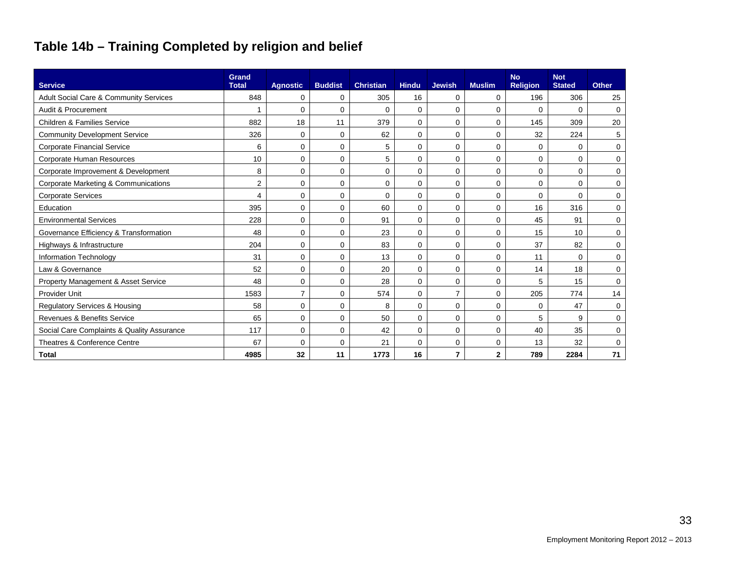## **Table 14b – Training Completed by religion and belief**

| <b>Service</b>                             | Grand<br><b>Total</b> | <b>Agnostic</b> | <b>Buddist</b> | <b>Christian</b> | <b>Hindu</b> | <b>Jewish</b>  | <b>Muslim</b> | <b>No</b><br><b>Religion</b> | <b>Not</b><br><b>Stated</b> | <b>Other</b> |
|--------------------------------------------|-----------------------|-----------------|----------------|------------------|--------------|----------------|---------------|------------------------------|-----------------------------|--------------|
| Adult Social Care & Community Services     | 848                   | 0               | 0              | 305              | 16           | 0              | 0             | 196                          | 306                         | 25           |
| Audit & Procurement                        | 1                     | 0               | 0              | $\mathbf 0$      | $\mathbf 0$  | 0              | $\mathbf 0$   | $\mathbf 0$                  | $\Omega$                    | $\mathbf 0$  |
| Children & Families Service                | 882                   | 18              | 11             | 379              | $\Omega$     | 0              | $\Omega$      | 145                          | 309                         | 20           |
| <b>Community Development Service</b>       | 326                   | 0               | 0              | 62               | 0            | 0              | 0             | 32                           | 224                         | 5            |
| <b>Corporate Financial Service</b>         | 6                     | 0               | 0              | 5                | $\Omega$     | 0              | 0             | 0                            | $\Omega$                    | 0            |
| Corporate Human Resources                  | 10                    | 0               | 0              | 5                | $\Omega$     | 0              | 0             | 0                            | $\Omega$                    | 0            |
| Corporate Improvement & Development        | 8                     | 0               | 0              | $\mathbf 0$      | $\Omega$     | 0              | $\mathbf 0$   | $\mathbf 0$                  | $\Omega$                    | $\Omega$     |
| Corporate Marketing & Communications       | $\overline{2}$        | 0               | 0              | 0                | 0            | 0              | 0             | $\mathbf 0$                  | $\mathbf 0$                 | 0            |
| <b>Corporate Services</b>                  | 4                     | 0               | 0              | $\mathbf 0$      | $\Omega$     | 0              | 0             | 0                            | $\Omega$                    | 0            |
| Education                                  | 395                   | 0               | 0              | 60               | $\Omega$     | 0              | 0             | 16                           | 316                         | 0            |
| <b>Environmental Services</b>              | 228                   | 0               | 0              | 91               | $\Omega$     | 0              | $\Omega$      | 45                           | 91                          | $\Omega$     |
| Governance Efficiency & Transformation     | 48                    | 0               | 0              | 23               | $\Omega$     | 0              | $\Omega$      | 15                           | 10                          | 0            |
| Highways & Infrastructure                  | 204                   | 0               | 0              | 83               | 0            | 0              | 0             | 37                           | 82                          | $\mathbf 0$  |
| Information Technology                     | 31                    | 0               | 0              | 13               | $\Omega$     | 0              | 0             | 11                           | $\Omega$                    | $\mathbf 0$  |
| Law & Governance                           | 52                    | 0               | 0              | 20               | $\Omega$     | 0              | 0             | 14                           | 18                          | 0            |
| Property Management & Asset Service        | 48                    | 0               | 0              | 28               | $\Omega$     | 0              | 0             | 5                            | 15                          | $\mathbf 0$  |
| <b>Provider Unit</b>                       | 1583                  | $\overline{7}$  | 0              | 574              | $\mathbf 0$  | $\overline{7}$ | 0             | 205                          | 774                         | 14           |
| <b>Regulatory Services &amp; Housing</b>   | 58                    | 0               | 0              | 8                | $\mathbf 0$  | 0              | 0             | 0                            | 47                          | $\mathbf 0$  |
| Revenues & Benefits Service                | 65                    | 0               | 0              | 50               | $\Omega$     | 0              | 0             | 5                            | 9                           | 0            |
| Social Care Complaints & Quality Assurance | 117                   | 0               | 0              | 42               | $\Omega$     | 0              | 0             | 40                           | 35                          | 0            |
| Theatres & Conference Centre               | 67                    | 0               | 0              | 21               | $\mathbf 0$  | 0              | $\mathbf 0$   | 13                           | 32                          | $\mathbf 0$  |
| <b>Total</b>                               | 4985                  | 32              | 11             | 1773             | 16           | 7              | $\mathbf{2}$  | 789                          | 2284                        | 71           |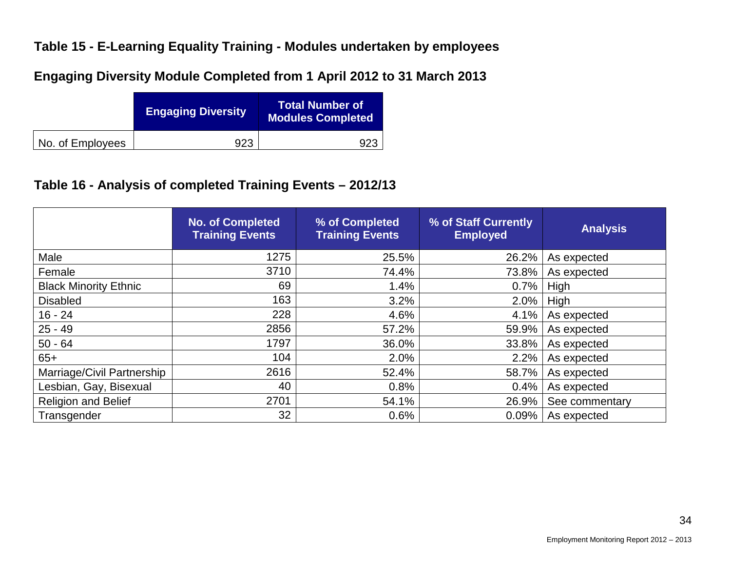#### **Table 15 - E-Learning Equality Training - Modules undertaken by employees**

**Engaging Diversity Module Completed from 1 April 2012 to 31 March 2013**

|                  | <b>Engaging Diversity</b> | <b>Total Number of</b><br><b>Modules Completed</b> |
|------------------|---------------------------|----------------------------------------------------|
| No. of Employees | 923                       |                                                    |

### **Table 16 - Analysis of completed Training Events – 2012/13**

|                              | <b>No. of Completed</b><br><b>Training Events</b> | % of Completed<br><b>Training Events</b> | % of Staff Currently<br><b>Employed</b> | <b>Analysis</b> |
|------------------------------|---------------------------------------------------|------------------------------------------|-----------------------------------------|-----------------|
| Male                         | 1275                                              | 25.5%                                    | 26.2%                                   | As expected     |
| Female                       | 3710                                              | 74.4%                                    | 73.8%                                   | As expected     |
| <b>Black Minority Ethnic</b> | 69                                                | 1.4%                                     | 0.7%                                    | High            |
| <b>Disabled</b>              | 163                                               | 3.2%                                     | 2.0%                                    | High            |
| $16 - 24$                    | 228                                               | 4.6%                                     | 4.1%                                    | As expected     |
| $25 - 49$                    | 2856                                              | 57.2%                                    | 59.9%                                   | As expected     |
| $50 - 64$                    | 1797                                              | 36.0%                                    | 33.8%                                   | As expected     |
| $65+$                        | 104                                               | 2.0%                                     | 2.2%                                    | As expected     |
| Marriage/Civil Partnership   | 2616                                              | 52.4%                                    | 58.7%                                   | As expected     |
| Lesbian, Gay, Bisexual       | 40                                                | 0.8%                                     | 0.4%                                    | As expected     |
| <b>Religion and Belief</b>   | 2701                                              | 54.1%                                    | 26.9%                                   | See commentary  |
| Transgender                  | 32 <sup>2</sup>                                   | 0.6%                                     | 0.09%                                   | As expected     |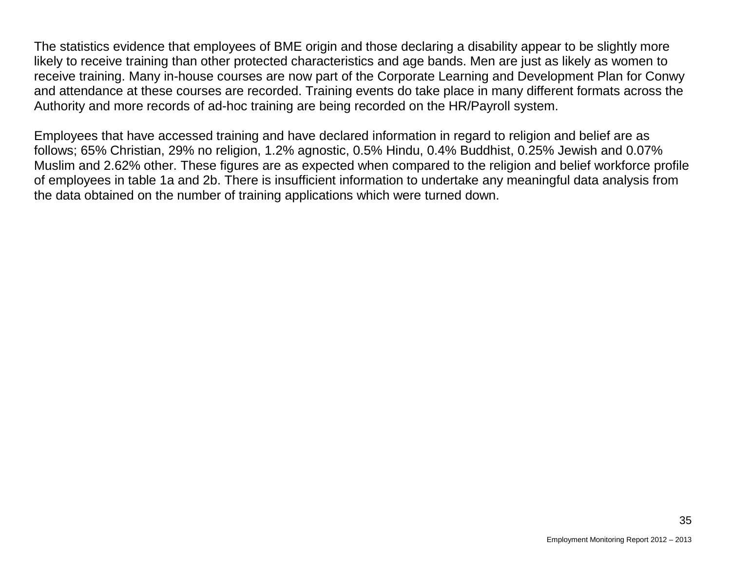The statistics evidence that employees of BME origin and those declaring a disability appear to be slightly more likely to receive training than other protected characteristics and age bands. Men are just as likely as women to receive training. Many in-house courses are now part of the Corporate Learning and Development Plan for Conwy and attendance at these courses are recorded. Training events do take place in many different formats across the Authority and more records of ad-hoc training are being recorded on the HR/Payroll system.

Employees that have accessed training and have declared information in regard to religion and belief are as follows; 65% Christian, 29% no religion, 1.2% agnostic, 0.5% Hindu, 0.4% Buddhist, 0.25% Jewish and 0.07% Muslim and 2.62% other. These figures are as expected when compared to the religion and belief workforce profile of employees in table 1a and 2b. There is insufficient information to undertake any meaningful data analysis from the data obtained on the number of training applications which were turned down.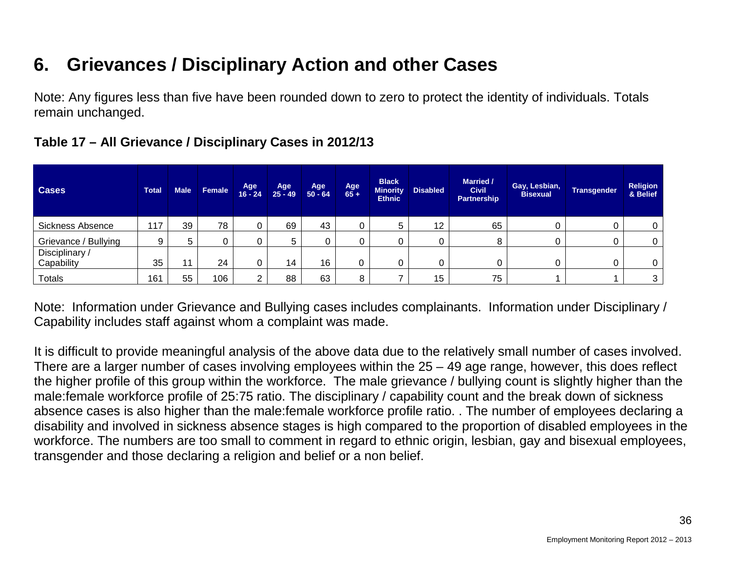## **6. Grievances / Disciplinary Action and other Cases**

Note: Any figures less than five have been rounded down to zero to protect the identity of individuals. Totals remain unchanged.

| <b>Cases</b>                 | <b>Total</b> | <b>Male</b> | Female | Age<br>$16 - 24$ | Age<br>$25 - 49$ | Age<br>$50 - 64$ | Age<br>$65 +$ | <b>Black</b><br><b>Minority</b><br><b>Ethnic</b> | <b>Disabled</b> | <b>Married /</b><br><b>Civil</b><br><b>Partnership</b> | Gay, Lesbian,<br><b>Bisexual</b> | <b>Transgender</b> | <b>Religion</b><br>& Belief |
|------------------------------|--------------|-------------|--------|------------------|------------------|------------------|---------------|--------------------------------------------------|-----------------|--------------------------------------------------------|----------------------------------|--------------------|-----------------------------|
| <b>Sickness Absence</b>      | 117          | 39          | 78     | 0                | 69               | 43               |               | 5                                                | 12              | 65                                                     |                                  |                    | 0                           |
| Grievance / Bullying         | 9            | 5           | 0      | 0                | 5                |                  |               |                                                  |                 | 8                                                      |                                  |                    | 0                           |
| Disciplinary /<br>Capability | 35           | 11          | 24     | 0                | 14               | 16               |               |                                                  | 0               |                                                        |                                  |                    | 0                           |
| <b>Totals</b>                | 161          | 55          | 106    | ⌒                | 88               | 63               |               |                                                  | 15              | 75                                                     |                                  |                    | 3                           |

#### **Table 17 – All Grievance / Disciplinary Cases in 2012/13**

Note: Information under Grievance and Bullying cases includes complainants. Information under Disciplinary / Capability includes staff against whom a complaint was made.

It is difficult to provide meaningful analysis of the above data due to the relatively small number of cases involved. There are a larger number of cases involving employees within the 25 – 49 age range, however, this does reflect the higher profile of this group within the workforce. The male grievance / bullying count is slightly higher than the male:female workforce profile of 25:75 ratio. The disciplinary / capability count and the break down of sickness absence cases is also higher than the male:female workforce profile ratio. . The number of employees declaring a disability and involved in sickness absence stages is high compared to the proportion of disabled employees in the workforce. The numbers are too small to comment in regard to ethnic origin, lesbian, gay and bisexual employees, transgender and those declaring a religion and belief or a non belief.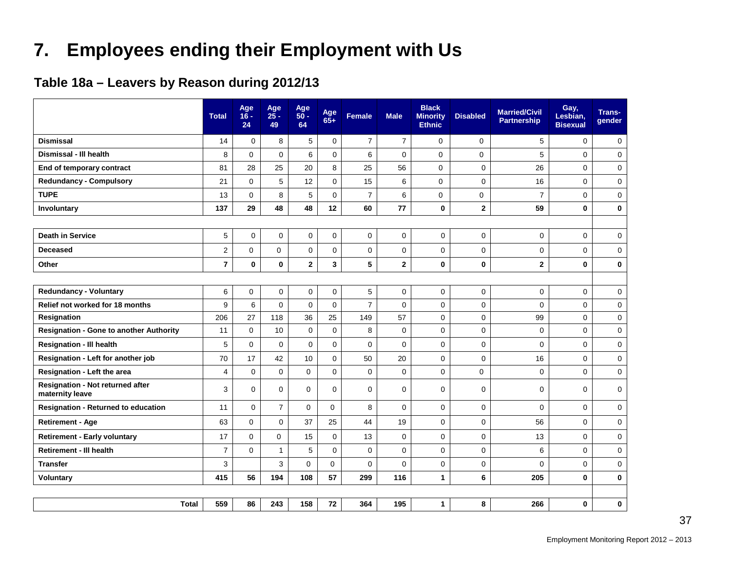## **7. Employees ending their Employment with Us**

### **Table 18a – Leavers by Reason during 2012/13**

|                                                            | <b>Total</b>   | Age<br>$16 -$<br>24 | Age<br>$25 -$<br>49 | Age<br>$50 -$<br>64     | Age<br>$65+$            | <b>Female</b>       | <b>Male</b>    | <b>Black</b><br><b>Minority</b><br><b>Ethnic</b> | <b>Disabled</b> | <b>Married/Civil</b><br><b>Partnership</b> | Gay,<br>Lesbian,<br><b>Bisexual</b> | <b>Trans-</b><br>gender |
|------------------------------------------------------------|----------------|---------------------|---------------------|-------------------------|-------------------------|---------------------|----------------|--------------------------------------------------|-----------------|--------------------------------------------|-------------------------------------|-------------------------|
| <b>Dismissal</b>                                           | 14             | $\Omega$            | 8                   | 5                       | $\mathbf 0$             | $\overline{7}$      | $\overline{7}$ | $\mathbf 0$                                      | $\mathbf 0$     | 5                                          | $\mathbf 0$                         | 0                       |
| Dismissal - III health                                     | 8              | $\Omega$            | 0                   | 6                       | 0                       | 6                   | $\mathbf 0$    | $\mathbf 0$                                      | $\pmb{0}$       | 5                                          | $\mathbf 0$                         | $\mathbf 0$             |
| End of temporary contract                                  | 81             | 28                  | 25                  | 20                      | 8                       | 25                  | 56             | $\mathbf 0$                                      | $\mathbf 0$     | 26                                         | $\mathbf 0$                         | 0                       |
| <b>Redundancy - Compulsory</b>                             | 21             | $\mathbf 0$         | 5                   | 12                      | 0                       | 15                  | $\,6$          | 0                                                | $\mathbf 0$     | 16                                         | $\mathbf 0$                         | $\mathbf 0$             |
| <b>TUPE</b>                                                | 13             | 0                   | 8                   | 5                       | 0                       | $\boldsymbol{7}$    | 6              | 0                                                | $\pmb{0}$       | $\overline{7}$                             | $\mathbf 0$                         | $\pmb{0}$               |
| Involuntary                                                | 137            | 29                  | 48                  | 48                      | 12                      | 60                  | 77             | 0                                                | $\mathbf{2}$    | 59                                         | $\mathbf 0$                         | $\pmb{0}$               |
|                                                            |                |                     |                     |                         |                         |                     |                |                                                  |                 |                                            |                                     |                         |
| <b>Death in Service</b>                                    | 5              | $\mathbf 0$         | $\Omega$            | 0                       | 0                       | $\mathbf 0$         | $\mathbf 0$    | $\Omega$                                         | $\Omega$        | 0                                          | $\Omega$                            | $\mathbf 0$             |
| <b>Deceased</b>                                            | $\overline{c}$ | 0                   | 0                   | 0                       | 0                       | $\mathsf{O}\xspace$ | $\mathbf 0$    | 0                                                | $\pmb{0}$       | 0                                          | $\mathbf 0$                         | $\mathbf 0$             |
| Other                                                      | $\overline{7}$ | $\mathbf 0$         | 0                   | $\overline{\mathbf{2}}$ | $\overline{\mathbf{3}}$ | 5                   | $\overline{2}$ | 0                                                | $\mathbf 0$     | $\mathbf 2$                                | $\mathbf 0$                         | $\pmb{0}$               |
|                                                            |                |                     |                     |                         |                         |                     |                |                                                  |                 |                                            |                                     |                         |
| <b>Redundancy - Voluntary</b>                              | $\,6$          | 0                   | $\mathbf 0$         | 0                       | 0                       | 5                   | $\mathsf 0$    | $\mathbf 0$                                      | $\pmb{0}$       | 0                                          | $\mathbf 0$                         | $\mathbf 0$             |
| Relief not worked for 18 months                            | 9              | 6                   | $\mathbf 0$         | $\Omega$                | 0                       | $\overline{7}$      | $\Omega$       | $\mathbf 0$                                      | $\mathbf 0$     | 0                                          | $\mathbf 0$                         | $\mathbf 0$             |
| Resignation                                                | 206            | 27                  | 118                 | 36                      | 25                      | 149                 | 57             | 0                                                | $\mathbf 0$     | 99                                         | $\mathbf 0$                         | $\mathbf 0$             |
| <b>Resignation - Gone to another Authority</b>             | 11             | $\mathbf 0$         | 10                  | $\pmb{0}$               | 0                       | 8                   | $\mathbf 0$    | $\mathbf 0$                                      | $\mathbf 0$     | 0                                          | $\mathbf 0$                         | $\mathbf 0$             |
| <b>Resignation - III health</b>                            | 5              | 0                   | $\mathbf 0$         | 0                       | 0                       | $\mathbf 0$         | $\mathbf 0$    | 0                                                | $\mathbf 0$     | 0                                          | $\mathbf 0$                         | $\pmb{0}$               |
| Resignation - Left for another job                         | 70             | 17                  | 42                  | 10                      | 0                       | 50                  | 20             | 0                                                | $\mathbf 0$     | 16                                         | $\mathbf 0$                         | $\pmb{0}$               |
| Resignation - Left the area                                | 4              | $\Omega$            | $\mathbf 0$         | $\mathbf 0$             | 0                       | $\mathbf 0$         | $\mathbf 0$    | $\mathbf 0$                                      | $\mathbf 0$     | 0                                          | $\Omega$                            | $\mathbf 0$             |
| <b>Resignation - Not returned after</b><br>maternity leave | 3              | $\Omega$            | $\Omega$            | $\Omega$                | 0                       | $\mathbf 0$         | $\Omega$       | $\mathbf 0$                                      | $\mathbf 0$     | 0                                          | $\mathbf 0$                         | $\mathbf 0$             |
| <b>Resignation - Returned to education</b>                 | 11             | $\mathbf 0$         | $\overline{7}$      | $\Omega$                | $\Omega$                | 8                   | $\Omega$       | 0                                                | $\mathbf 0$     | 0                                          | $\mathbf 0$                         | $\mathbf 0$             |
| <b>Retirement - Age</b>                                    | 63             | 0                   | 0                   | 37                      | 25                      | 44                  | 19             | $\mathbf 0$                                      | $\mathbf 0$     | 56                                         | $\mathbf 0$                         | $\mathbf 0$             |
| <b>Retirement - Early voluntary</b>                        | 17             | $\Omega$            | $\mathbf 0$         | 15                      | 0                       | 13                  | $\mathbf 0$    | 0                                                | $\mathbf 0$     | 13                                         | $\mathbf 0$                         | $\mathbf 0$             |
| <b>Retirement - III health</b>                             | $\overline{7}$ | $\Omega$            | $\mathbf{1}$        | 5                       | 0                       | $\mathbf 0$         | $\mathbf 0$    | 0                                                | $\mathbf 0$     | 6                                          | $\mathbf 0$                         | $\mathbf 0$             |
| <b>Transfer</b>                                            | 3              |                     | 3                   | 0                       | $\Omega$                | $\mathbf 0$         | $\mathbf 0$    | 0                                                | $\mathbf 0$     | 0                                          | $\mathbf 0$                         | $\mathbf 0$             |
| Voluntary                                                  | 415            | 56                  | 194                 | 108                     | 57                      | 299                 | 116            | 1                                                | 6               | 205                                        | $\mathbf 0$                         | $\bf{0}$                |
|                                                            |                |                     |                     |                         |                         |                     |                |                                                  |                 |                                            |                                     |                         |
| <b>Total</b>                                               | 559            | 86                  | 243                 | 158                     | 72                      | 364                 | 195            | 1                                                | 8               | 266                                        | 0                                   | 0                       |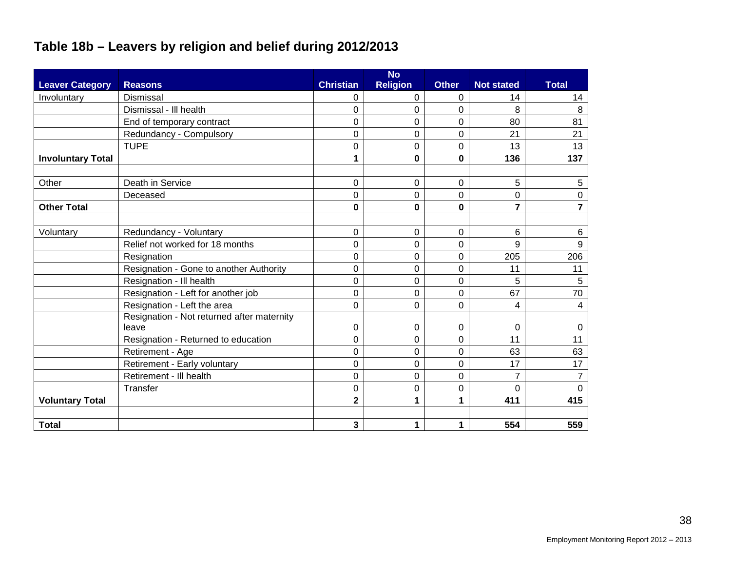## **Table 18b – Leavers by religion and belief during 2012/2013**

|                          |                                            |                         | <b>No</b>       |              |                   |                 |
|--------------------------|--------------------------------------------|-------------------------|-----------------|--------------|-------------------|-----------------|
| <b>Leaver Category</b>   | <b>Reasons</b>                             | <b>Christian</b>        | <b>Religion</b> | <b>Other</b> | <b>Not stated</b> | <b>Total</b>    |
| Involuntary              | <b>Dismissal</b>                           | 0                       | 0               | 0            | 14                | 14              |
|                          | Dismissal - III health                     | $\Omega$                | 0               | 0            | 8                 | 8               |
|                          | End of temporary contract                  | $\Omega$                | 0               | 0            | 80                | 81              |
|                          | Redundancy - Compulsory                    | 0                       | 0               | 0            | 21                | 21              |
|                          | <b>TUPE</b>                                | 0                       | 0               | 0            | 13                | 13              |
| <b>Involuntary Total</b> |                                            | 1                       | 0               | $\mathbf 0$  | 136               | 137             |
|                          |                                            |                         |                 |              |                   |                 |
| Other                    | Death in Service                           | 0                       | 0               | 0            | 5                 | 5               |
|                          | Deceased                                   | 0                       | 0               | 0            | 0                 | $\mathbf 0$     |
| <b>Other Total</b>       |                                            | 0                       | 0               | $\mathbf 0$  | $\overline{7}$    | $\overline{7}$  |
|                          |                                            |                         |                 |              |                   |                 |
| Voluntary                | Redundancy - Voluntary                     | 0                       | 0               | 0            | 6                 | 6               |
|                          | Relief not worked for 18 months            | 0                       | 0               | 0            | 9                 | 9               |
|                          | Resignation                                | $\Omega$                | 0               | 0            | 205               | 206             |
|                          | Resignation - Gone to another Authority    | 0                       | 0               | 0            | 11                | 11              |
|                          | Resignation - Ill health                   | 0                       | 0               | 0            | 5                 | $5\phantom{.0}$ |
|                          | Resignation - Left for another job         | 0                       | 0               | 0            | 67                | 70              |
|                          | Resignation - Left the area                | $\Omega$                | 0               | 0            | 4                 | 4               |
|                          | Resignation - Not returned after maternity |                         |                 |              |                   |                 |
|                          | leave                                      | 0                       | 0               | 0            | 0                 | 0               |
|                          | Resignation - Returned to education        | $\Omega$                | 0               | 0            | 11                | 11              |
|                          | Retirement - Age                           | $\Omega$                | 0               | 0            | 63                | 63              |
|                          | Retirement - Early voluntary               | $\Omega$                | 0               | 0            | 17                | 17              |
|                          | Retirement - Ill health                    | 0                       | 0               | 0            | 7                 | $\overline{7}$  |
|                          | Transfer                                   | 0                       | 0               | 0            | 0                 | $\Omega$        |
| <b>Voluntary Total</b>   |                                            | $\overline{\mathbf{2}}$ | 1               | 1            | 411               | 415             |
|                          |                                            |                         |                 |              |                   |                 |
| <b>Total</b>             |                                            | 3                       | 1               | 1            | 554               | 559             |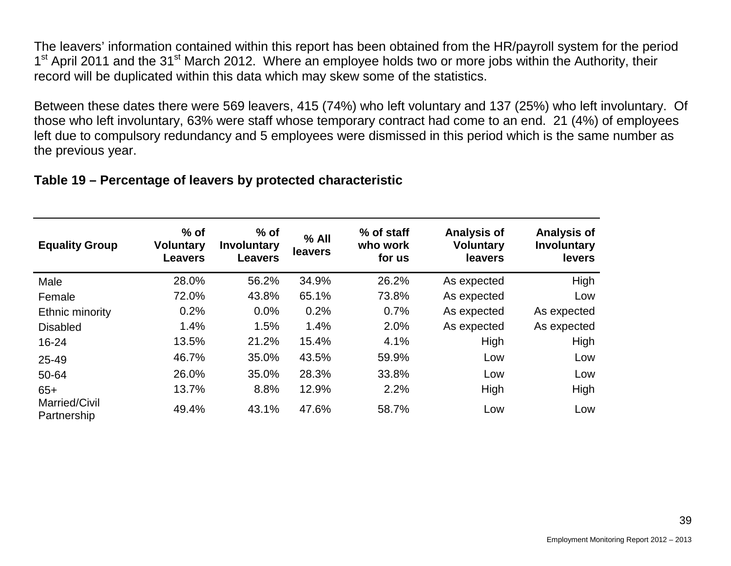The leavers' information contained within this report has been obtained from the HR/payroll system for the period 1<sup>st</sup> April 2011 and the 31<sup>st</sup> March 2012. Where an employee holds two or more jobs within the Authority, their record will be duplicated within this data which may skew some of the statistics.

Between these dates there were 569 leavers, 415 (74%) who left voluntary and 137 (25%) who left involuntary. Of those who left involuntary, 63% were staff whose temporary contract had come to an end. 21 (4%) of employees left due to compulsory redundancy and 5 employees were dismissed in this period which is the same number as the previous year.

#### **Table 19 – Percentage of leavers by protected characteristic**

| <b>Equality Group</b>        | $%$ of<br><b>Voluntary</b><br><b>Leavers</b> | $%$ of<br>Involuntary<br><b>Leavers</b> | $%$ All<br>leavers | % of staff<br>who work<br>for us | <b>Analysis of</b><br><b>Voluntary</b><br>leavers | <b>Analysis of</b><br>Involuntary<br>levers |
|------------------------------|----------------------------------------------|-----------------------------------------|--------------------|----------------------------------|---------------------------------------------------|---------------------------------------------|
| Male                         | 28.0%                                        | 56.2%                                   | 34.9%              | 26.2%                            | As expected                                       | High                                        |
| Female                       | 72.0%                                        | 43.8%                                   | 65.1%              | 73.8%                            | As expected                                       | Low                                         |
| Ethnic minority              | 0.2%                                         | 0.0%                                    | 0.2%               | 0.7%                             | As expected                                       | As expected                                 |
| <b>Disabled</b>              | 1.4%                                         | 1.5%                                    | 1.4%               | 2.0%                             | As expected                                       | As expected                                 |
| 16-24                        | 13.5%                                        | 21.2%                                   | 15.4%              | 4.1%                             | High                                              | High                                        |
| 25-49                        | 46.7%                                        | 35.0%                                   | 43.5%              | 59.9%                            | Low                                               | Low                                         |
| 50-64                        | 26.0%                                        | 35.0%                                   | 28.3%              | 33.8%                            | Low                                               | Low                                         |
| $65+$                        | 13.7%                                        | 8.8%                                    | 12.9%              | 2.2%                             | High                                              | High                                        |
| Married/Civil<br>Partnership | 49.4%                                        | 43.1%                                   | 47.6%              | 58.7%                            | Low                                               | Low                                         |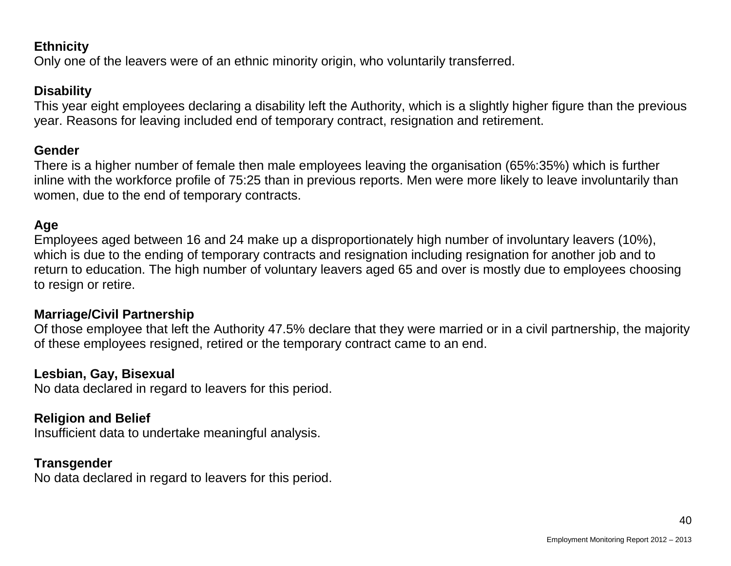#### **Ethnicity**

Only one of the leavers were of an ethnic minority origin, who voluntarily transferred.

#### **Disability**

This year eight employees declaring a disability left the Authority, which is a slightly higher figure than the previous year. Reasons for leaving included end of temporary contract, resignation and retirement.

#### **Gender**

There is a higher number of female then male employees leaving the organisation (65%:35%) which is further inline with the workforce profile of 75:25 than in previous reports. Men were more likely to leave involuntarily than women, due to the end of temporary contracts.

#### **Age**

Employees aged between 16 and 24 make up a disproportionately high number of involuntary leavers (10%), which is due to the ending of temporary contracts and resignation including resignation for another job and to return to education. The high number of voluntary leavers aged 65 and over is mostly due to employees choosing to resign or retire.

#### **Marriage/Civil Partnership**

Of those employee that left the Authority 47.5% declare that they were married or in a civil partnership, the majority of these employees resigned, retired or the temporary contract came to an end.

#### **Lesbian, Gay, Bisexual**

No data declared in regard to leavers for this period.

#### **Religion and Belief**

Insufficient data to undertake meaningful analysis.

#### **Transgender**

No data declared in regard to leavers for this period.